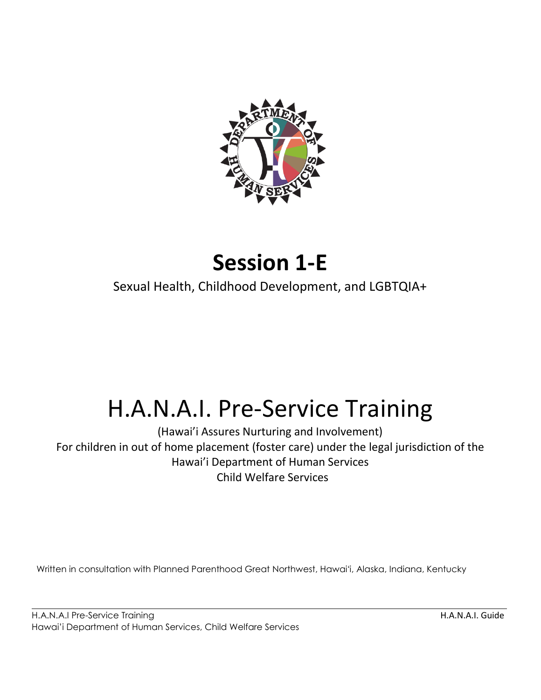

# **Session 1-E**

Sexual Health, Childhood Development, and LGBTQIA+

# H.A.N.A.I. Pre-Service Training

(Hawai'i Assures Nurturing and Involvement) For children in out of home placement (foster care) under the legal jurisdiction of the Hawai'i Department of Human Services Child Welfare Services

Written in consultation with Planned Parenthood Great Northwest, Hawaiʻi, Alaska, Indiana, Kentucky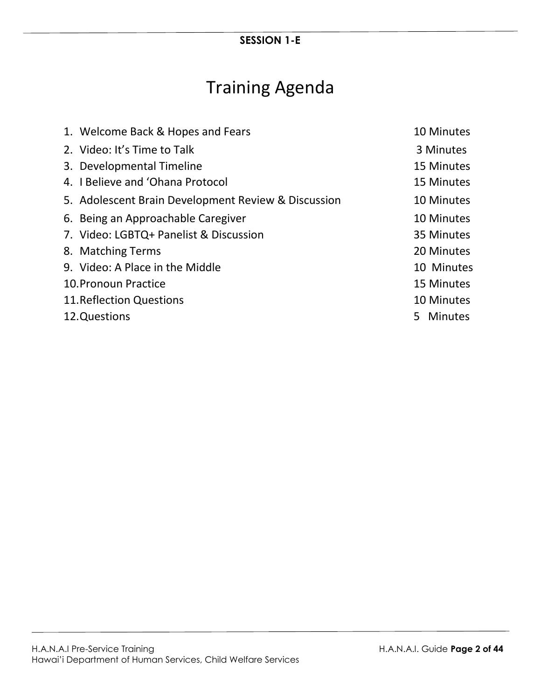# Training Agenda

| 1. Welcome Back & Hopes and Fears                   |    | 10 Minutes |
|-----------------------------------------------------|----|------------|
| 2. Video: It's Time to Talk                         |    | 3 Minutes  |
| 3. Developmental Timeline                           |    | 15 Minutes |
| 4. I Believe and 'Ohana Protocol                    |    | 15 Minutes |
| 5. Adolescent Brain Development Review & Discussion |    | 10 Minutes |
| 6. Being an Approachable Caregiver                  |    | 10 Minutes |
| 7. Video: LGBTQ+ Panelist & Discussion              |    | 35 Minutes |
| 8. Matching Terms                                   |    | 20 Minutes |
| 9. Video: A Place in the Middle                     |    | 10 Minutes |
| 10. Pronoun Practice                                |    | 15 Minutes |
| <b>11. Reflection Questions</b>                     |    | 10 Minutes |
| 12.Questions                                        | 5. | Minutes    |
|                                                     |    |            |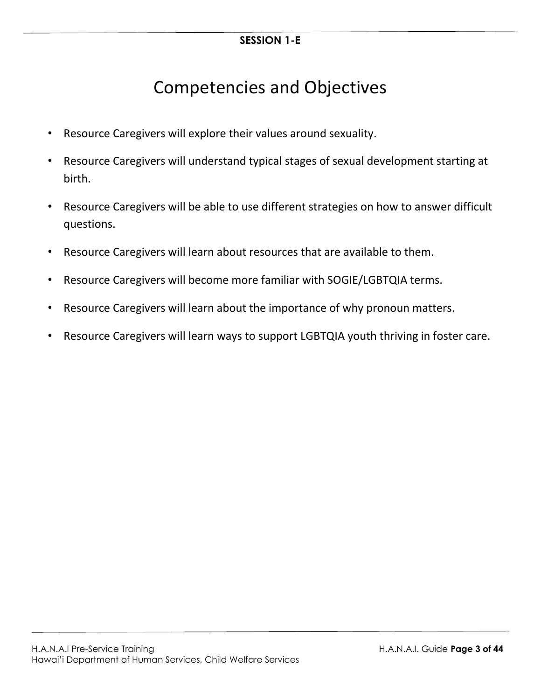# Competencies and Objectives

- Resource Caregivers will explore their values around sexuality.
- Resource Caregivers will understand typical stages of sexual development starting at birth.
- Resource Caregivers will be able to use different strategies on how to answer difficult questions.
- Resource Caregivers will learn about resources that are available to them.
- Resource Caregivers will become more familiar with SOGIE/LGBTQIA terms.
- Resource Caregivers will learn about the importance of why pronoun matters.
- Resource Caregivers will learn ways to support LGBTQIA youth thriving in foster care.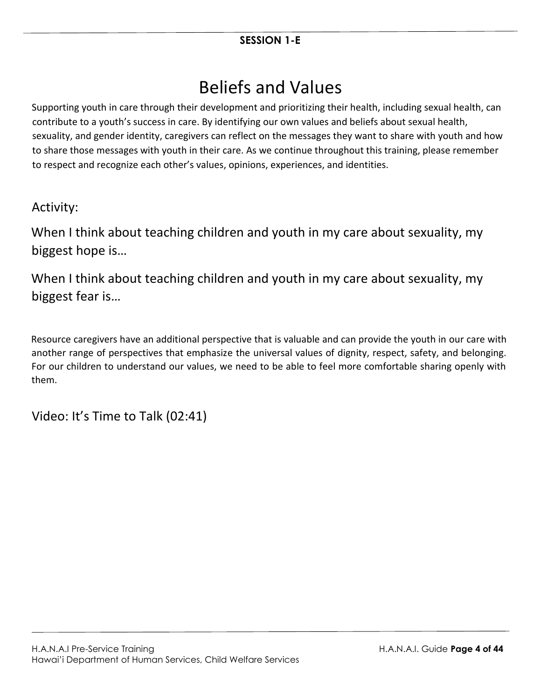# Beliefs and Values

Supporting youth in care through their development and prioritizing their health, including sexual health, can contribute to a youth's success in care. By identifying our own values and beliefs about sexual health, sexuality, and gender identity, caregivers can reflect on the messages they want to share with youth and how to share those messages with youth in their care. As we continue throughout this training, please remember to respect and recognize each other's values, opinions, experiences, and identities.

### Activity:

When I think about teaching children and youth in my care about sexuality, my biggest hope is…

When I think about teaching children and youth in my care about sexuality, my biggest fear is…

Resource caregivers have an additional perspective that is valuable and can provide the youth in our care with another range of perspectives that emphasize the universal values of dignity, respect, safety, and belonging. For our children to understand our values, we need to be able to feel more comfortable sharing openly with them.

Video: It's Time to Talk (02:41)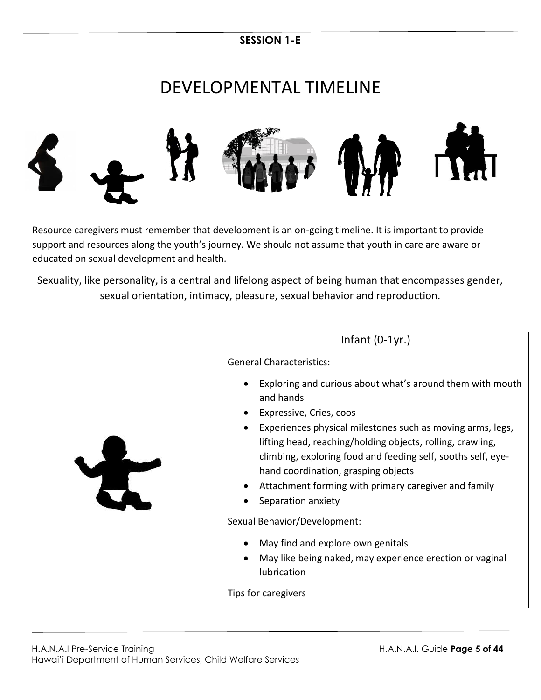# DEVELOPMENTAL TIMELINE



Resource caregivers must remember that development is an on-going timeline. It is important to provide support and resources along the youth's journey. We should not assume that youth in care are aware or educated on sexual development and health.

Sexuality, like personality, is a central and lifelong aspect of being human that encompasses gender, sexual orientation, intimacy, pleasure, sexual behavior and reproduction.

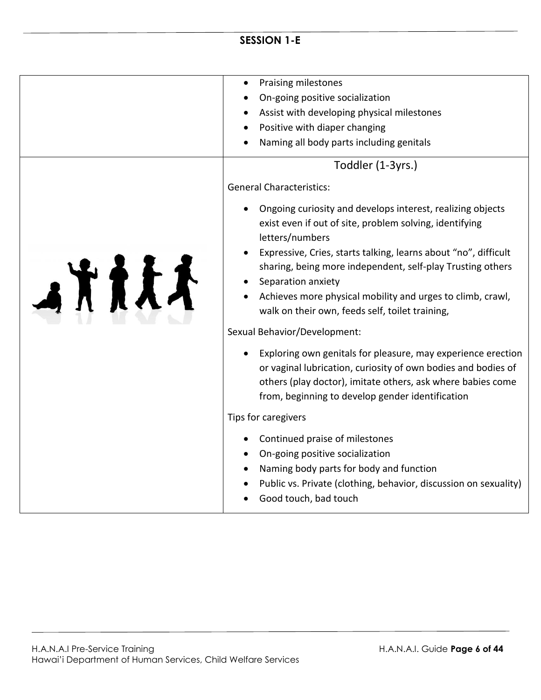|       | <b>Praising milestones</b>                                                                                                                                                                                                                       |
|-------|--------------------------------------------------------------------------------------------------------------------------------------------------------------------------------------------------------------------------------------------------|
|       | On-going positive socialization                                                                                                                                                                                                                  |
|       | Assist with developing physical milestones                                                                                                                                                                                                       |
|       | Positive with diaper changing                                                                                                                                                                                                                    |
|       | Naming all body parts including genitals                                                                                                                                                                                                         |
|       | Toddler (1-3yrs.)                                                                                                                                                                                                                                |
|       | <b>General Characteristics:</b>                                                                                                                                                                                                                  |
|       | Ongoing curiosity and develops interest, realizing objects<br>exist even if out of site, problem solving, identifying<br>letters/numbers                                                                                                         |
| 1111L | Expressive, Cries, starts talking, learns about "no", difficult<br>sharing, being more independent, self-play Trusting others<br>Separation anxiety                                                                                              |
|       | Achieves more physical mobility and urges to climb, crawl,<br>walk on their own, feeds self, toilet training,                                                                                                                                    |
|       | Sexual Behavior/Development:                                                                                                                                                                                                                     |
|       | Exploring own genitals for pleasure, may experience erection<br>or vaginal lubrication, curiosity of own bodies and bodies of<br>others (play doctor), imitate others, ask where babies come<br>from, beginning to develop gender identification |
|       | Tips for caregivers                                                                                                                                                                                                                              |
|       | Continued praise of milestones<br>On-going positive socialization<br>Naming body parts for body and function<br>Public vs. Private (clothing, behavior, discussion on sexuality)<br>Good touch, bad touch                                        |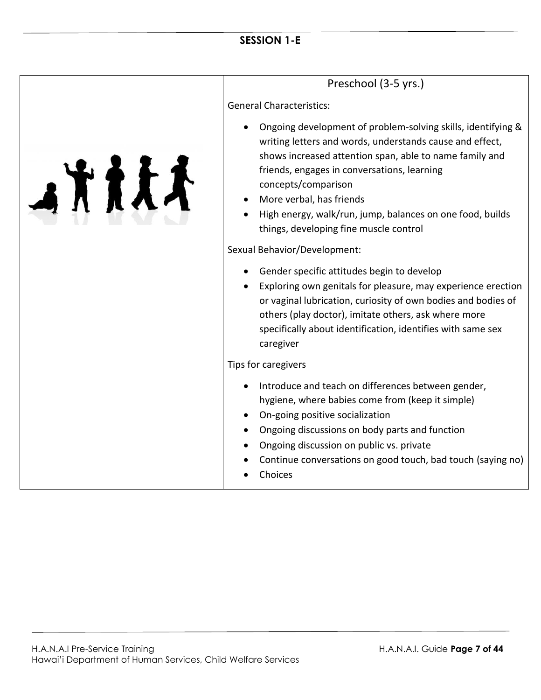## Preschool (3-5 yrs.)

General Characteristics:

- Ongoing development of problem-solving skills, identifying & writing letters and words, understands cause and effect, shows increased attention span, able to name family and friends, engages in conversations, learning concepts/comparison
- More verbal, has friends
- High energy, walk/run, jump, balances on one food, builds things, developing fine muscle control

#### Sexual Behavior/Development:

- Gender specific attitudes begin to develop
- Exploring own genitals for pleasure, may experience erection or vaginal lubrication, curiosity of own bodies and bodies of others (play doctor), imitate others, ask where more specifically about identification, identifies with same sex caregiver

#### Tips for caregivers

- Introduce and teach on differences between gender, hygiene, where babies come from (keep it simple)
- On-going positive socialization
- Ongoing discussions on body parts and function
- Ongoing discussion on public vs. private
- Continue conversations on good touch, bad touch (saying no)
- Choices

人方方式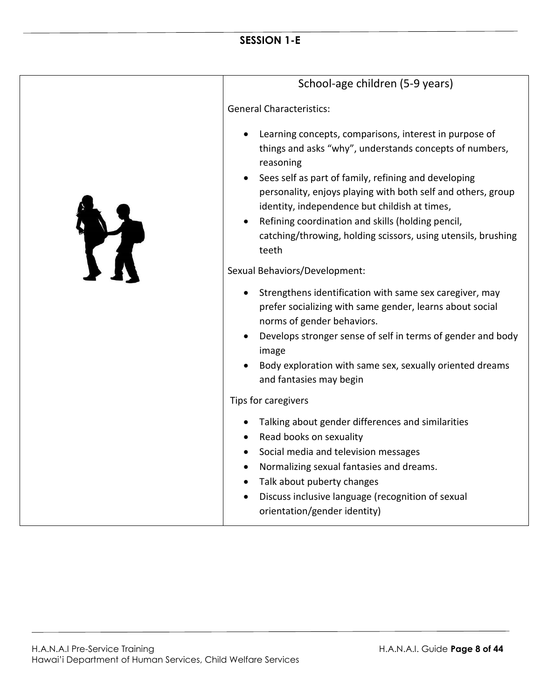|   | School-age children (5-9 years)                                                                                                                                                                                                                                                                                                                                                                                                                                         |
|---|-------------------------------------------------------------------------------------------------------------------------------------------------------------------------------------------------------------------------------------------------------------------------------------------------------------------------------------------------------------------------------------------------------------------------------------------------------------------------|
|   | <b>General Characteristics:</b>                                                                                                                                                                                                                                                                                                                                                                                                                                         |
| T | Learning concepts, comparisons, interest in purpose of<br>things and asks "why", understands concepts of numbers,<br>reasoning<br>Sees self as part of family, refining and developing<br>personality, enjoys playing with both self and others, group<br>identity, independence but childish at times,<br>Refining coordination and skills (holding pencil,<br>catching/throwing, holding scissors, using utensils, brushing<br>teeth<br>Sexual Behaviors/Development: |
|   | Strengthens identification with same sex caregiver, may<br>prefer socializing with same gender, learns about social<br>norms of gender behaviors.                                                                                                                                                                                                                                                                                                                       |
|   | Develops stronger sense of self in terms of gender and body<br>image                                                                                                                                                                                                                                                                                                                                                                                                    |
|   | Body exploration with same sex, sexually oriented dreams<br>and fantasies may begin                                                                                                                                                                                                                                                                                                                                                                                     |
|   | Tips for caregivers                                                                                                                                                                                                                                                                                                                                                                                                                                                     |
|   | Talking about gender differences and similarities<br>Read books on sexuality<br>Social media and television messages<br>Normalizing sexual fantasies and dreams.<br>$\bullet$<br>Talk about puberty changes<br>Discuss inclusive language (recognition of sexual<br>orientation/gender identity)                                                                                                                                                                        |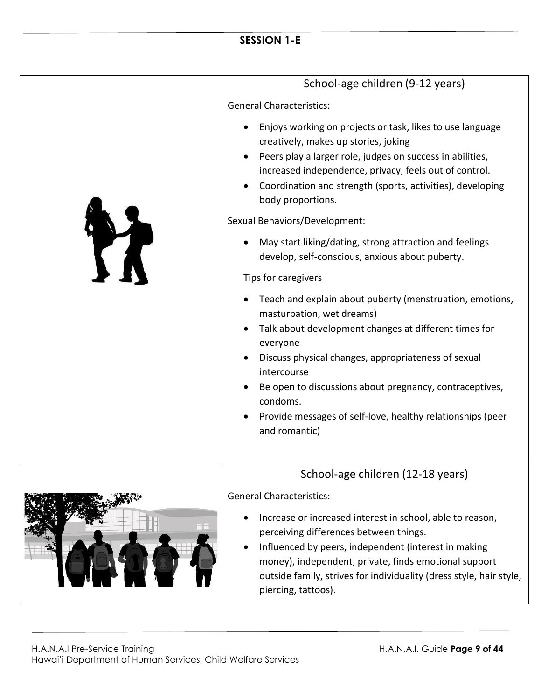|           | School-age children (9-12 years)                                                                                                                                                                                                                                                                                                                                                       |
|-----------|----------------------------------------------------------------------------------------------------------------------------------------------------------------------------------------------------------------------------------------------------------------------------------------------------------------------------------------------------------------------------------------|
|           | <b>General Characteristics:</b>                                                                                                                                                                                                                                                                                                                                                        |
|           | Enjoys working on projects or task, likes to use language<br>creatively, makes up stories, joking<br>Peers play a larger role, judges on success in abilities,<br>increased independence, privacy, feels out of control.<br>Coordination and strength (sports, activities), developing<br>body proportions.                                                                            |
|           | Sexual Behaviors/Development:                                                                                                                                                                                                                                                                                                                                                          |
| <b>TT</b> | May start liking/dating, strong attraction and feelings<br>develop, self-conscious, anxious about puberty.                                                                                                                                                                                                                                                                             |
|           | Tips for caregivers                                                                                                                                                                                                                                                                                                                                                                    |
|           | Teach and explain about puberty (menstruation, emotions,<br>masturbation, wet dreams)<br>Talk about development changes at different times for<br>everyone<br>Discuss physical changes, appropriateness of sexual<br>intercourse<br>Be open to discussions about pregnancy, contraceptives,<br>condoms.<br>Provide messages of self-love, healthy relationships (peer<br>and romantic) |
|           | School-age children (12-18 years)                                                                                                                                                                                                                                                                                                                                                      |
|           | <b>General Characteristics:</b><br>Increase or increased interest in school, able to reason,<br>perceiving differences between things.<br>Influenced by peers, independent (interest in making<br>money), independent, private, finds emotional support<br>outside family, strives for individuality (dress style, hair style,                                                         |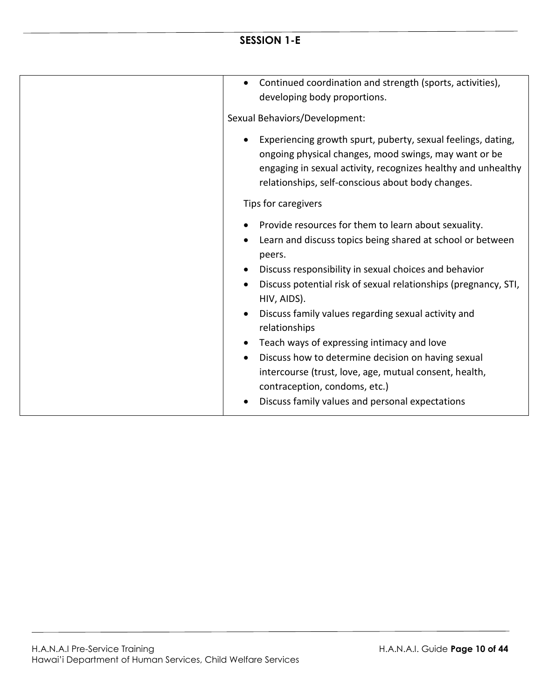| Continued coordination and strength (sports, activities),<br>$\bullet$<br>developing body proportions.                                                                                                                                                                                                                                                                                                                                                                                                                                                                                                                                                |
|-------------------------------------------------------------------------------------------------------------------------------------------------------------------------------------------------------------------------------------------------------------------------------------------------------------------------------------------------------------------------------------------------------------------------------------------------------------------------------------------------------------------------------------------------------------------------------------------------------------------------------------------------------|
| Sexual Behaviors/Development:                                                                                                                                                                                                                                                                                                                                                                                                                                                                                                                                                                                                                         |
| Experiencing growth spurt, puberty, sexual feelings, dating,<br>$\bullet$<br>ongoing physical changes, mood swings, may want or be<br>engaging in sexual activity, recognizes healthy and unhealthy<br>relationships, self-conscious about body changes.                                                                                                                                                                                                                                                                                                                                                                                              |
| Tips for caregivers                                                                                                                                                                                                                                                                                                                                                                                                                                                                                                                                                                                                                                   |
| Provide resources for them to learn about sexuality.<br>Learn and discuss topics being shared at school or between<br>peers.<br>Discuss responsibility in sexual choices and behavior<br>$\bullet$<br>Discuss potential risk of sexual relationships (pregnancy, STI,<br>HIV, AIDS).<br>Discuss family values regarding sexual activity and<br>$\bullet$<br>relationships<br>Teach ways of expressing intimacy and love<br>$\bullet$<br>Discuss how to determine decision on having sexual<br>$\bullet$<br>intercourse (trust, love, age, mutual consent, health,<br>contraception, condoms, etc.)<br>Discuss family values and personal expectations |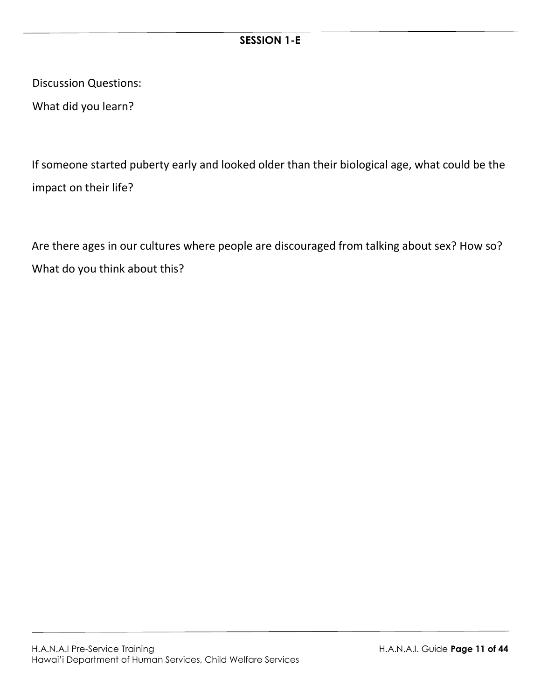Discussion Questions:

What did you learn?

If someone started puberty early and looked older than their biological age, what could be the impact on their life?

Are there ages in our cultures where people are discouraged from talking about sex? How so? What do you think about this?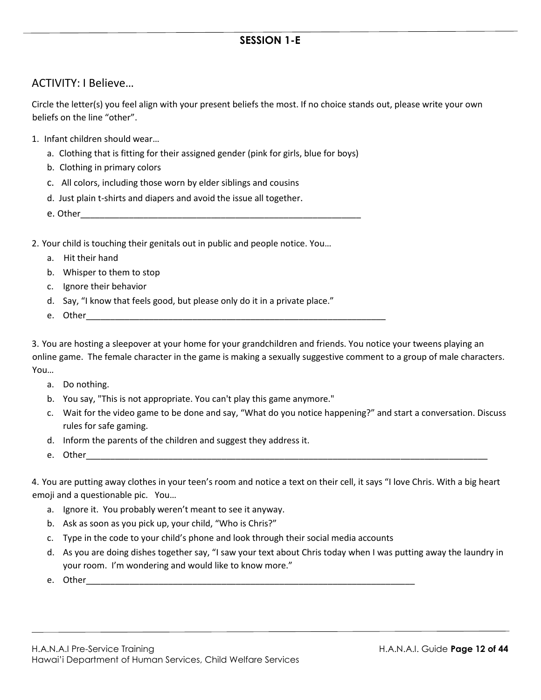#### ACTIVITY: I Believe…

Circle the letter(s) you feel align with your present beliefs the most. If no choice stands out, please write your own beliefs on the line "other".

- 1. Infant children should wear…
	- a. Clothing that is fitting for their assigned gender (pink for girls, blue for boys)
	- b. Clothing in primary colors
	- c. All colors, including those worn by elder siblings and cousins
	- d. Just plain t-shirts and diapers and avoid the issue all together.
	- e. Other

2. Your child is touching their genitals out in public and people notice. You…

- a. Hit their hand
- b. Whisper to them to stop
- c. Ignore their behavior
- d. Say, "I know that feels good, but please only do it in a private place."
- e. Other

3. You are hosting a sleepover at your home for your grandchildren and friends. You notice your tweens playing an online game. The female character in the game is making a sexually suggestive comment to a group of male characters. You…

- a. Do nothing.
- b. You say, "This is not appropriate. You can't play this game anymore."
- c. Wait for the video game to be done and say, "What do you notice happening?" and start a conversation. Discuss rules for safe gaming.
- d. Inform the parents of the children and suggest they address it.
- e. Other

4. You are putting away clothes in your teen's room and notice a text on their cell, it says "I love Chris. With a big heart emoji and a questionable pic. You…

- a. Ignore it. You probably weren't meant to see it anyway.
- b. Ask as soon as you pick up, your child, "Who is Chris?"
- c. Type in the code to your child's phone and look through their social media accounts
- d. As you are doing dishes together say, "I saw your text about Chris today when I was putting away the laundry in your room. I'm wondering and would like to know more."
- e. Other\_\_\_\_\_\_\_\_\_\_\_\_\_\_\_\_\_\_\_\_\_\_\_\_\_\_\_\_\_\_\_\_\_\_\_\_\_\_\_\_\_\_\_\_\_\_\_\_\_\_\_\_\_\_\_\_\_\_\_\_\_\_\_\_\_\_\_\_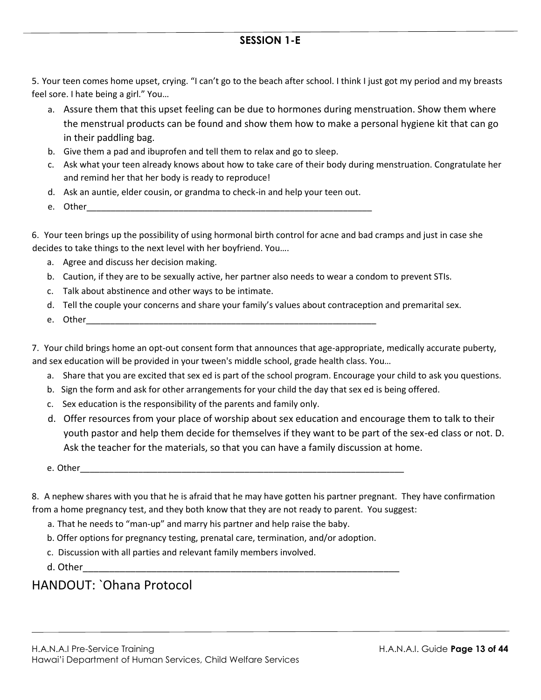5. Your teen comes home upset, crying. "I can't go to the beach after school. I think I just got my period and my breasts feel sore. I hate being a girl." You…

- a. Assure them that this upset feeling can be due to hormones during menstruation. Show them where the menstrual products can be found and show them how to make a personal hygiene kit that can go in their paddling bag.
- b. Give them a pad and ibuprofen and tell them to relax and go to sleep.
- c. Ask what your teen already knows about how to take care of their body during menstruation. Congratulate her and remind her that her body is ready to reproduce!
- d. Ask an auntie, elder cousin, or grandma to check-in and help your teen out.
- e. Other\_\_\_\_\_\_\_\_\_\_\_\_\_\_\_\_\_\_\_\_\_\_\_\_\_\_\_\_\_\_\_\_\_\_\_\_\_\_\_\_\_\_\_\_\_\_\_\_\_\_\_\_\_\_\_\_\_\_\_

6. Your teen brings up the possibility of using hormonal birth control for acne and bad cramps and just in case she decides to take things to the next level with her boyfriend. You….

- a. Agree and discuss her decision making.
- b. Caution, if they are to be sexually active, her partner also needs to wear a condom to prevent STIs.
- c. Talk about abstinence and other ways to be intimate.
- d. Tell the couple your concerns and share your family's values about contraception and premarital sex.
- e. Other

7. Your child brings home an opt-out consent form that announces that age-appropriate, medically accurate puberty, and sex education will be provided in your tween's middle school, grade health class. You…

- a. Share that you are excited that sex ed is part of the school program. Encourage your child to ask you questions.
- b. Sign the form and ask for other arrangements for your child the day that sex ed is being offered.
- c. Sex education is the responsibility of the parents and family only.
- d. Offer resources from your place of worship about sex education and encourage them to talk to their youth pastor and help them decide for themselves if they want to be part of the sex-ed class or not. D. Ask the teacher for the materials, so that you can have a family discussion at home.
- e. Other\_\_\_\_\_\_\_\_\_\_\_\_\_\_\_\_\_\_\_\_\_\_\_\_\_\_\_\_\_\_\_\_\_\_\_\_\_\_\_\_\_\_\_\_\_\_\_\_\_\_\_\_\_\_\_\_\_\_\_\_\_\_\_\_\_\_\_

8. A nephew shares with you that he is afraid that he may have gotten his partner pregnant. They have confirmation from a home pregnancy test, and they both know that they are not ready to parent. You suggest:

- a. That he needs to "man-up" and marry his partner and help raise the baby.
- b. Offer options for pregnancy testing, prenatal care, termination, and/or adoption.
- c. Discussion with all parties and relevant family members involved.

d. Other\_\_\_\_\_\_\_\_\_\_\_\_\_\_\_\_\_\_\_\_\_\_\_\_\_\_\_\_\_\_\_\_\_\_\_\_\_\_\_\_\_\_\_\_\_\_\_\_\_\_\_\_\_\_\_\_\_\_\_\_

### HANDOUT: `Ohana Protocol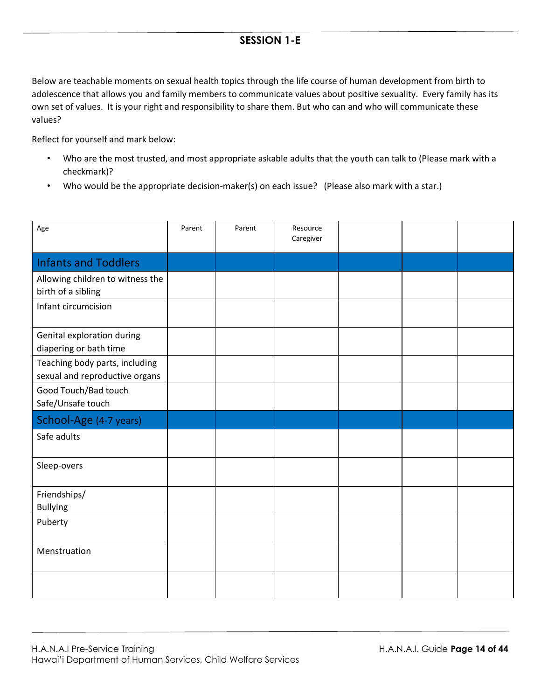Below are teachable moments on sexual health topics through the life course of human development from birth to adolescence that allows you and family members to communicate values about positive sexuality. Every family has its own set of values. It is your right and responsibility to share them. But who can and who will communicate these values?

Reflect for yourself and mark below:

- Who are the most trusted, and most appropriate askable adults that the youth can talk to (Please mark with a checkmark)?
- Who would be the appropriate decision-maker(s) on each issue? (Please also mark with a star.)

| Age                                                              | Parent | Parent | Resource<br>Caregiver |  |  |
|------------------------------------------------------------------|--------|--------|-----------------------|--|--|
| <b>Infants and Toddlers</b>                                      |        |        |                       |  |  |
| Allowing children to witness the<br>birth of a sibling           |        |        |                       |  |  |
| Infant circumcision                                              |        |        |                       |  |  |
| Genital exploration during<br>diapering or bath time             |        |        |                       |  |  |
| Teaching body parts, including<br>sexual and reproductive organs |        |        |                       |  |  |
| Good Touch/Bad touch<br>Safe/Unsafe touch                        |        |        |                       |  |  |
| School-Age (4-7 years)                                           |        |        |                       |  |  |
| Safe adults                                                      |        |        |                       |  |  |
| Sleep-overs                                                      |        |        |                       |  |  |
| Friendships/<br><b>Bullying</b>                                  |        |        |                       |  |  |
| Puberty                                                          |        |        |                       |  |  |
| Menstruation                                                     |        |        |                       |  |  |
|                                                                  |        |        |                       |  |  |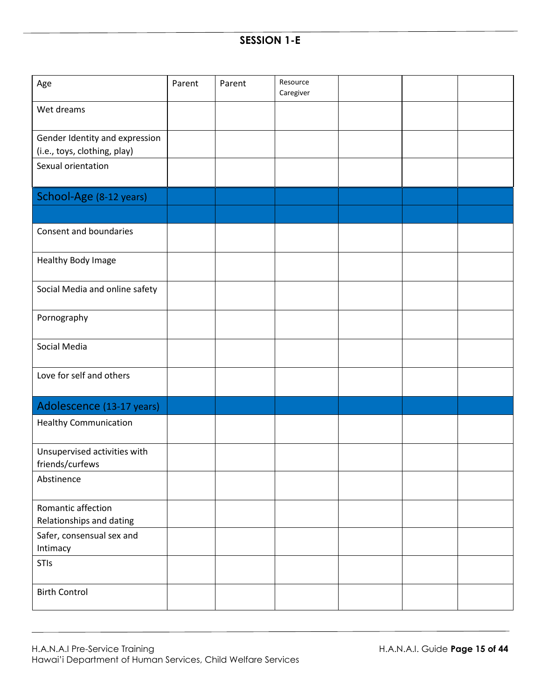| Age                                                            | Parent | Parent | Resource<br>Caregiver |  |  |
|----------------------------------------------------------------|--------|--------|-----------------------|--|--|
| Wet dreams                                                     |        |        |                       |  |  |
| Gender Identity and expression<br>(i.e., toys, clothing, play) |        |        |                       |  |  |
| Sexual orientation                                             |        |        |                       |  |  |
| School-Age (8-12 years)                                        |        |        |                       |  |  |
| Consent and boundaries                                         |        |        |                       |  |  |
| Healthy Body Image                                             |        |        |                       |  |  |
| Social Media and online safety                                 |        |        |                       |  |  |
| Pornography                                                    |        |        |                       |  |  |
| Social Media                                                   |        |        |                       |  |  |
| Love for self and others                                       |        |        |                       |  |  |
| Adolescence (13-17 years)                                      |        |        |                       |  |  |
| <b>Healthy Communication</b>                                   |        |        |                       |  |  |
| Unsupervised activities with<br>friends/curfews                |        |        |                       |  |  |
| Abstinence                                                     |        |        |                       |  |  |
| Romantic affection<br>Relationships and dating                 |        |        |                       |  |  |
| Safer, consensual sex and<br>Intimacy                          |        |        |                       |  |  |
| STIs                                                           |        |        |                       |  |  |
| <b>Birth Control</b>                                           |        |        |                       |  |  |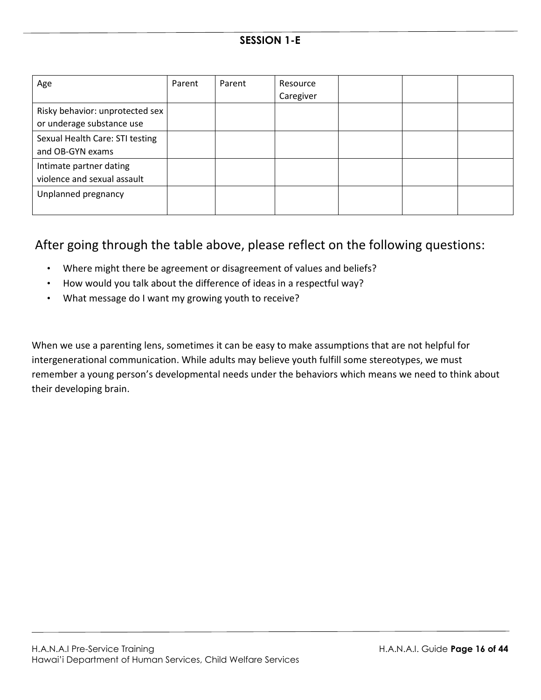| Age                                                          | Parent | Parent | Resource<br>Caregiver |  |  |
|--------------------------------------------------------------|--------|--------|-----------------------|--|--|
| Risky behavior: unprotected sex<br>or underage substance use |        |        |                       |  |  |
| Sexual Health Care: STI testing<br>and OB-GYN exams          |        |        |                       |  |  |
| Intimate partner dating<br>violence and sexual assault       |        |        |                       |  |  |
| Unplanned pregnancy                                          |        |        |                       |  |  |

## After going through the table above, please reflect on the following questions:

- Where might there be agreement or disagreement of values and beliefs?
- How would you talk about the difference of ideas in a respectful way?
- What message do I want my growing youth to receive?

When we use a parenting lens, sometimes it can be easy to make assumptions that are not helpful for intergenerational communication. While adults may believe youth fulfill some stereotypes, we must remember a young person's developmental needs under the behaviors which means we need to think about their developing brain.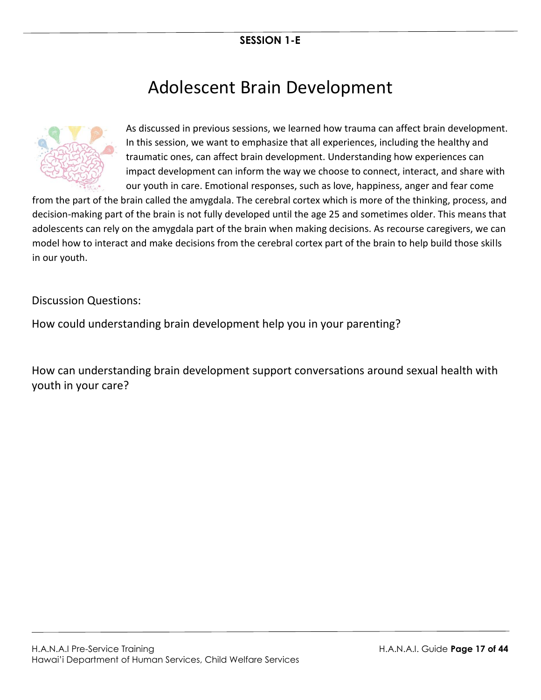# Adolescent Brain Development



As discussed in previous sessions, we learned how trauma can affect brain development. In this session, we want to emphasize that all experiences, including the healthy and traumatic ones, can affect brain development. Understanding how experiences can impact development can inform the way we choose to connect, interact, and share with our youth in care. Emotional responses, such as love, happiness, anger and fear come

from the part of the brain called the amygdala. The cerebral cortex which is more of the thinking, process, and decision-making part of the brain is not fully developed until the age 25 and sometimes older. This means that adolescents can rely on the amygdala part of the brain when making decisions. As recourse caregivers, we can model how to interact and make decisions from the cerebral cortex part of the brain to help build those skills in our youth.

Discussion Questions:

How could understanding brain development help you in your parenting?

How can understanding brain development support conversations around sexual health with youth in your care?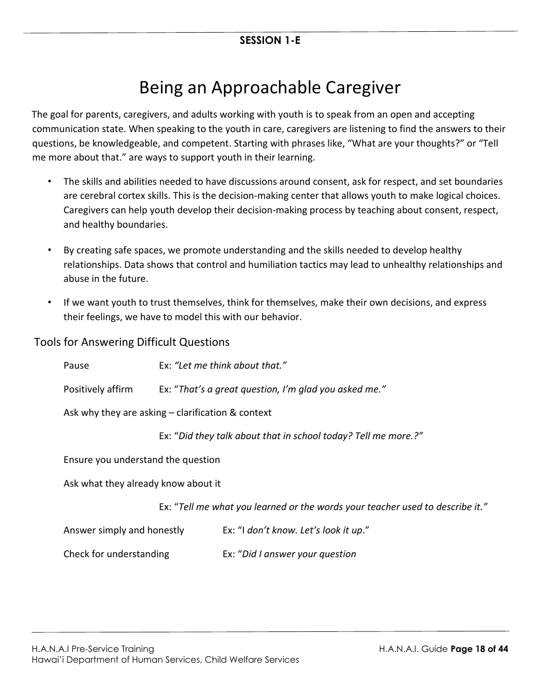# Being an Approachable Caregiver

The goal for parents, caregivers, and adults working with youth is to speak from an open and accepting communication state. When speaking to the youth in care, caregivers are listening to find the answers to their questions, be knowledgeable, and competent. Starting with phrases like, "What are your thoughts?" or "Tell me more about that." are ways to support youth in their learning.

- The skills and abilities needed to have discussions around consent, ask for respect, and set boundaries are cerebral cortex skills. This is the decision-making center that allows youth to make logical choices. Caregivers can help youth develop their decision-making process by teaching about consent, respect, and healthy boundaries.
- By creating safe spaces, we promote understanding and the skills needed to develop healthy relationships. Data shows that control and humiliation tactics may lead to unhealthy relationships and abuse in the future.
- If we want youth to trust themselves, think for themselves, make their own decisions, and express their feelings, we have to model this with our behavior.

Tools for Answering Difficult Questions

| Pause                                               | Ex: "Let me think about that."                                                |                                                                |  |
|-----------------------------------------------------|-------------------------------------------------------------------------------|----------------------------------------------------------------|--|
| Positively affirm                                   |                                                                               | Ex: "That's a great question, I'm glad you asked me."          |  |
| Ask why they are asking $-$ clarification & context |                                                                               |                                                                |  |
|                                                     |                                                                               | Ex: "Did they talk about that in school today? Tell me more.?" |  |
| Ensure you understand the question                  |                                                                               |                                                                |  |
| Ask what they already know about it                 |                                                                               |                                                                |  |
|                                                     | Ex: "Tell me what you learned or the words your teacher used to describe it." |                                                                |  |
| Answer simply and honestly                          |                                                                               | Ex: "I don't know. Let's look it up."                          |  |
| Check for understanding                             |                                                                               | Ex: "Did I answer your question                                |  |
|                                                     |                                                                               |                                                                |  |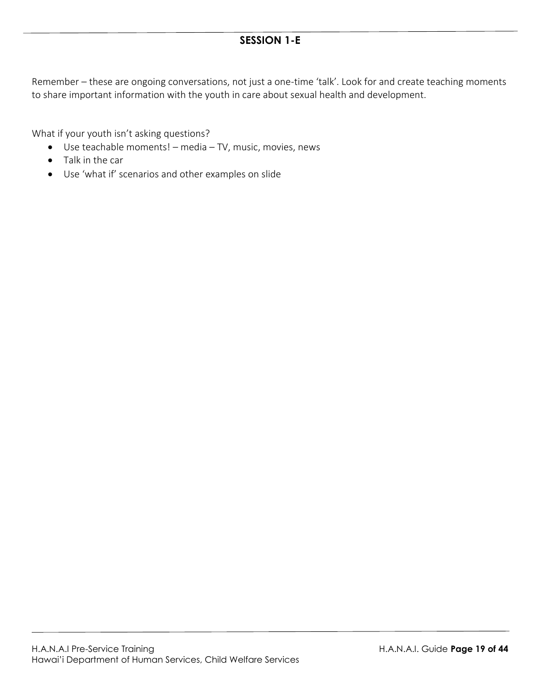Remember – these are ongoing conversations, not just a one-time 'talk'. Look for and create teaching moments to share important information with the youth in care about sexual health and development.

What if your youth isn't asking questions?

- Use teachable moments! media TV, music, movies, news
- Talk in the car
- Use 'what if' scenarios and other examples on slide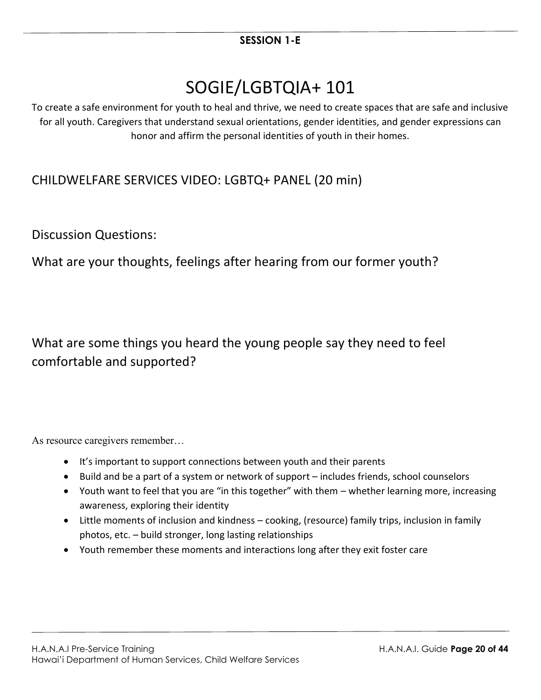# SOGIE/LGBTQIA+ 101

To create a safe environment for youth to heal and thrive, we need to create spaces that are safe and inclusive for all youth. Caregivers that understand sexual orientations, gender identities, and gender expressions can honor and affirm the personal identities of youth in their homes.

# CHILDWELFARE SERVICES VIDEO: LGBTQ+ PANEL (20 min)

Discussion Questions:

What are your thoughts, feelings after hearing from our former youth?

What are some things you heard the young people say they need to feel comfortable and supported?

As resource caregivers remember…

- It's important to support connections between youth and their parents
- Build and be a part of a system or network of support includes friends, school counselors
- Youth want to feel that you are "in this together" with them whether learning more, increasing awareness, exploring their identity
- Little moments of inclusion and kindness cooking, (resource) family trips, inclusion in family photos, etc. – build stronger, long lasting relationships
- Youth remember these moments and interactions long after they exit foster care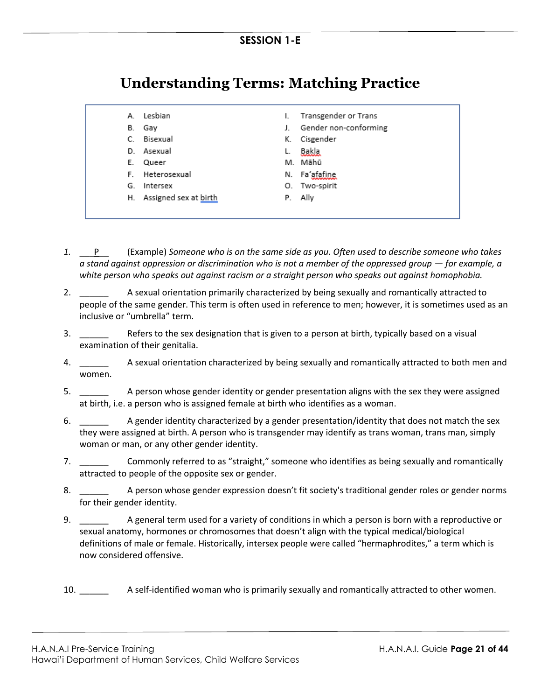# **Understanding Terms: Matching Practice**

| espian |  |
|--------|--|
|--------|--|

- B. Gay
- C. Bisexual
- D. Asexual
- E. Queer
- F. Heterosexual
- G. Intersex
- H. Assigned sex at birth
- I. Transgender or Trans
- J. Gender non-conforming
- K. Cisgender
- L. Bakla
- M. Māhū
- N. Fa'afafine
- O. Two-spirit
- P. Ally
- *1.* \_\_\_P\_\_ (Example) *Someone who is on the same side as you. Often used to describe someone who takes a* stand against oppression or discrimination who is not a member of the oppressed group — for example, a *white person who speaks out against racism or a straight person who speaks out against homophobia.*
- 2. \_\_\_\_\_\_ A sexual orientation primarily characterized by being sexually and romantically attracted to people of the same gender. This term is often used in reference to men; however, it is sometimes used as an inclusive or "umbrella" term.
- 3. \_\_\_\_\_\_ Refers to the sex designation that is given to a person at birth, typically based on a visual examination of their genitalia.
- 4. \_\_\_\_\_\_ A sexual orientation characterized by being sexually and romantically attracted to both men and women.
- 5. \_\_\_\_\_\_ A person whose gender identity or gender presentation aligns with the sex they were assigned at birth, i.e. a person who is assigned female at birth who identifies as a woman.
- 6. \_\_\_\_\_\_ A gender identity characterized by a gender presentation/identity that does not match the sex they were assigned at birth. A person who is transgender may identify as trans woman, trans man, simply woman or man, or any other gender identity.
- 7. \_\_\_\_\_\_ Commonly referred to as "straight," someone who identifies as being sexually and romantically attracted to people of the opposite sex or gender.
- 8. \_\_\_\_\_\_ A person whose gender expression doesn't fit society's traditional gender roles or gender norms for their gender identity.
- 9. \_\_\_\_\_\_ A general term used for a variety of conditions in which a person is born with a reproductive or sexual anatomy, hormones or chromosomes that doesn't align with the typical medical/biological definitions of male or female. Historically, intersex people were called "hermaphrodites," a term which is now considered offensive.

10. \_\_\_\_\_\_ A self-identified woman who is primarily sexually and romantically attracted to other women.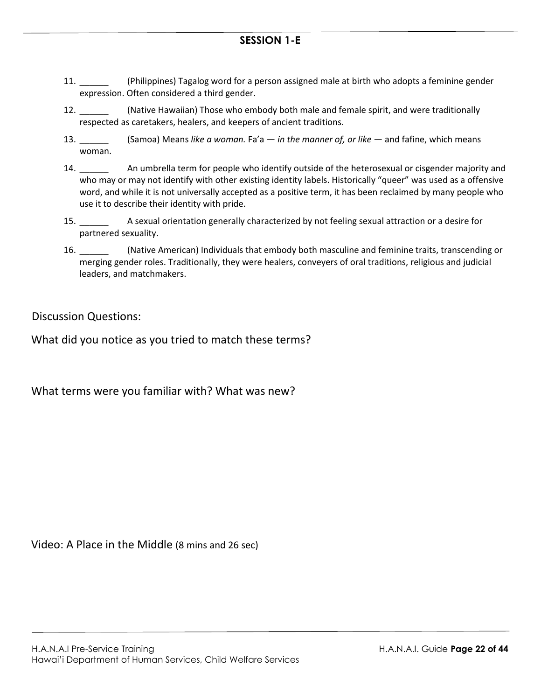- 11. \_\_\_\_\_\_ (Philippines) Tagalog word for a person assigned male at birth who adopts a feminine gender expression. Often considered a third gender.
- 12. \_\_\_\_\_\_ (Native Hawaiian) Those who embody both male and female spirit, and were traditionally respected as caretakers, healers, and keepers of ancient traditions.
- 13. \_\_\_\_\_\_ (Samoa) Means *like a woman.* Fa'a *in the manner of, or like* and fafine, which means woman.
- 14. \_\_\_\_\_\_ An umbrella term for people who identify outside of the heterosexual or cisgender majority and who may or may not identify with other existing identity labels. Historically "queer" was used as a offensive word, and while it is not universally accepted as a positive term, it has been reclaimed by many people who use it to describe their identity with pride.
- 15. \_\_\_\_\_\_ A sexual orientation generally characterized by not feeling sexual attraction or a desire for partnered sexuality.
- 16. \_\_\_\_\_\_ (Native American) Individuals that embody both masculine and feminine traits, transcending or merging gender roles. Traditionally, they were healers, conveyers of oral traditions, religious and judicial leaders, and matchmakers.

Discussion Questions:

What did you notice as you tried to match these terms?

What terms were you familiar with? What was new?

Video: A Place in the Middle (8 mins and 26 sec)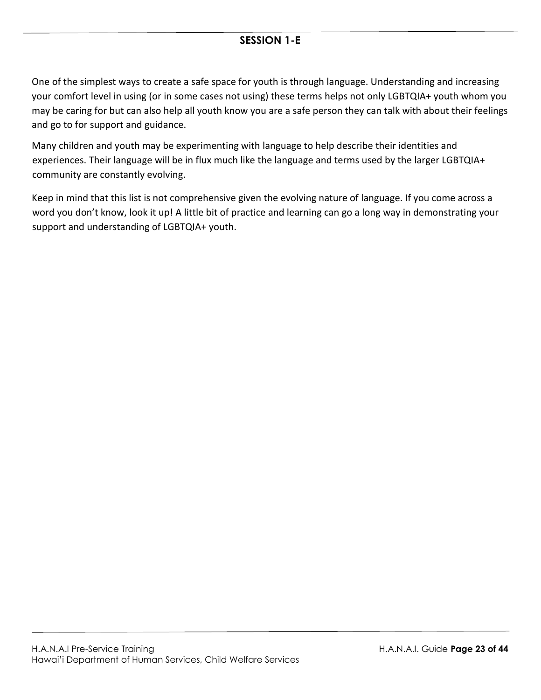One of the simplest ways to create a safe space for youth is through language. Understanding and increasing your comfort level in using (or in some cases not using) these terms helps not only LGBTQIA+ youth whom you may be caring for but can also help all youth know you are a safe person they can talk with about their feelings and go to for support and guidance.

Many children and youth may be experimenting with language to help describe their identities and experiences. Their language will be in flux much like the language and terms used by the larger LGBTQIA+ community are constantly evolving.

Keep in mind that this list is not comprehensive given the evolving nature of language. If you come across a word you don't know, look it up! A little bit of practice and learning can go a long way in demonstrating your support and understanding of LGBTQIA+ youth.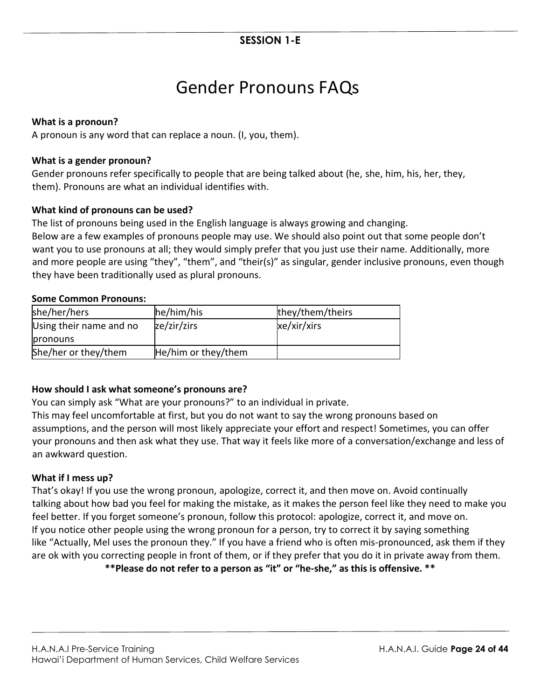# Gender Pronouns FAQs

#### **What is a pronoun?**

A pronoun is any word that can replace a noun. (I, you, them).

#### **What is a gender pronoun?**

Gender pronouns refer specifically to people that are being talked about (he, she, him, his, her, they, them). Pronouns are what an individual identifies with.

#### **What kind of pronouns can be used?**

The list of pronouns being used in the English language is always growing and changing. Below are a few examples of pronouns people may use. We should also point out that some people don't want you to use pronouns at all; they would simply prefer that you just use their name. Additionally, more and more people are using "they", "them", and "their(s)" as singular, gender inclusive pronouns, even though they have been traditionally used as plural pronouns.

#### **Some Common Pronouns:**

| she/her/hers            | he/him/his          | they/them/theirs |
|-------------------------|---------------------|------------------|
| Using their name and no | ze/zir/zirs         | xe/xir/xirs      |
| pronouns                |                     |                  |
| She/her or they/them    | He/him or they/them |                  |

#### **How should I ask what someone's pronouns are?**

You can simply ask "What are your pronouns?" to an individual in private.

This may feel uncomfortable at first, but you do not want to say the wrong pronouns based on assumptions, and the person will most likely appreciate your effort and respect! Sometimes, you can offer your pronouns and then ask what they use. That way it feels like more of a conversation/exchange and less of an awkward question.

#### **What if I mess up?**

That's okay! If you use the wrong pronoun, apologize, correct it, and then move on. Avoid continually talking about how bad you feel for making the mistake, as it makes the person feel like they need to make you feel better. If you forget someone's pronoun, follow this protocol: apologize, correct it, and move on. If you notice other people using the wrong pronoun for a person, try to correct it by saying something like "Actually, Mel uses the pronoun they." If you have a friend who is often mis-pronounced, ask them if they are ok with you correcting people in front of them, or if they prefer that you do it in private away from them.

**\*\*Please do not refer to a person as "it" or "he-she," as this is offensive. \*\***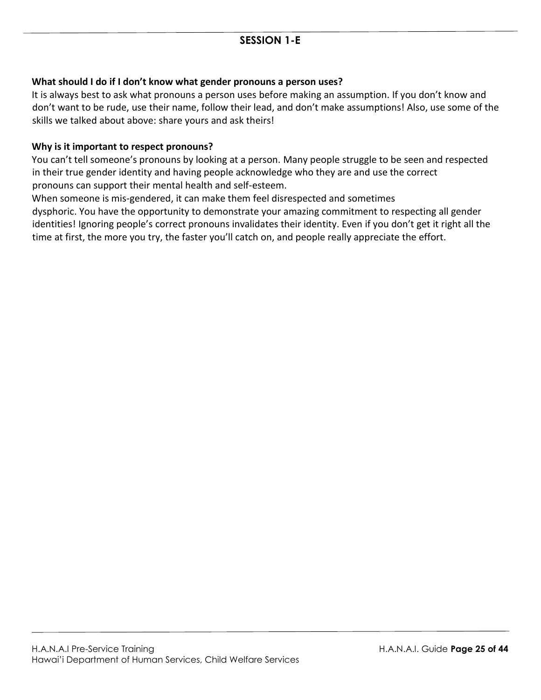#### **What should I do if I don't know what gender pronouns a person uses?**

It is always best to ask what pronouns a person uses before making an assumption. If you don't know and don't want to be rude, use their name, follow their lead, and don't make assumptions! Also, use some of the skills we talked about above: share yours and ask theirs!

#### **Why is it important to respect pronouns?**

You can't tell someone's pronouns by looking at a person. Many people struggle to be seen and respected in their true gender identity and having people acknowledge who they are and use the correct pronouns can support their mental health and self-esteem.

When someone is mis-gendered, it can make them feel disrespected and sometimes

dysphoric. You have the opportunity to demonstrate your amazing commitment to respecting all gender identities! Ignoring people's correct pronouns invalidates their identity. Even if you don't get it right all the time at first, the more you try, the faster you'll catch on, and people really appreciate the effort.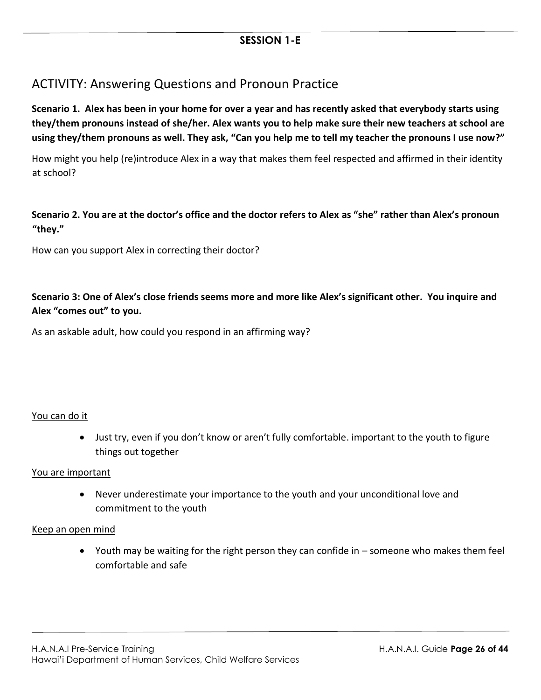## ACTIVITY: Answering Questions and Pronoun Practice

**Scenario 1. Alex has been in your home for over a year and has recently asked that everybody starts using they/them pronouns instead of she/her. Alex wants you to help make sure their new teachers at school are using they/them pronouns as well. They ask, "Can you help me to tell my teacher the pronouns I use now?"** 

How might you help (re)introduce Alex in a way that makes them feel respected and affirmed in their identity at school?

#### **Scenario 2. You are at the doctor's office and the doctor refers to Alex as "she" rather than Alex's pronoun "they."**

How can you support Alex in correcting their doctor?

**Scenario 3: One of Alex's close friends seems more and more like Alex's significant other. You inquire and Alex "comes out" to you.** 

As an askable adult, how could you respond in an affirming way?

#### You can do it

• Just try, even if you don't know or aren't fully comfortable. important to the youth to figure things out together

#### You are important

• Never underestimate your importance to the youth and your unconditional love and commitment to the youth

#### Keep an open mind

• Youth may be waiting for the right person they can confide in – someone who makes them feel comfortable and safe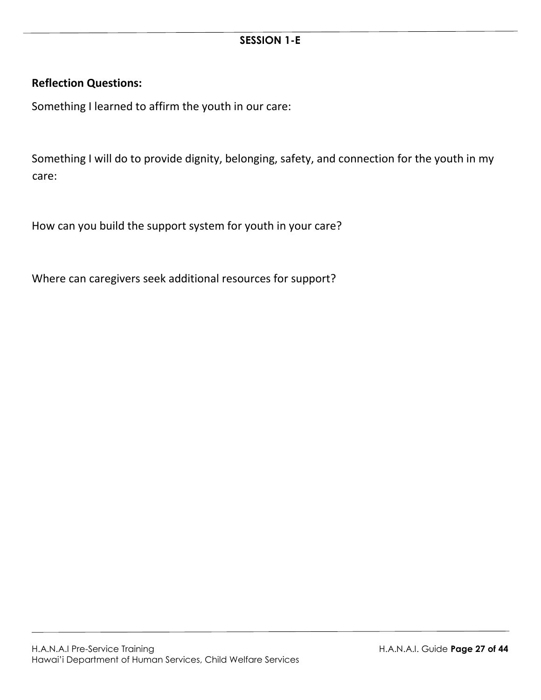#### **Reflection Questions:**

Something I learned to affirm the youth in our care:

Something I will do to provide dignity, belonging, safety, and connection for the youth in my care:

How can you build the support system for youth in your care?

Where can caregivers seek additional resources for support?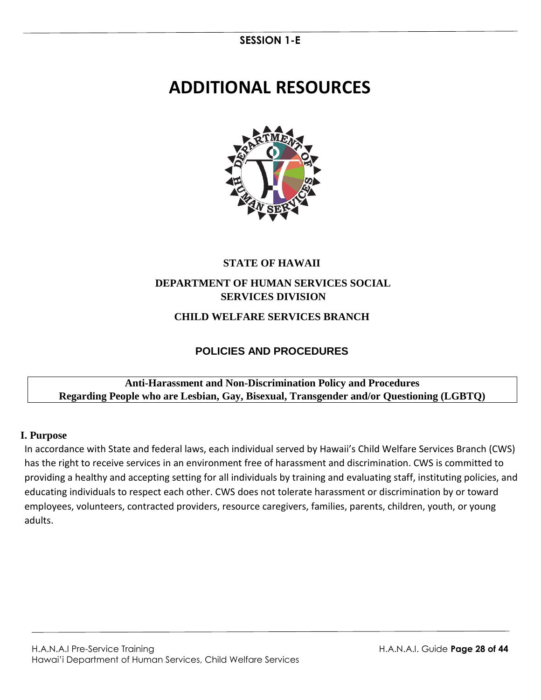# **ADDITIONAL RESOURCES**



# **STATE OF HAWAII**

### **DEPARTMENT OF HUMAN SERVICES SOCIAL SERVICES DIVISION**

### **CHILD WELFARE SERVICES BRANCH**

## **POLICIES AND PROCEDURES**

#### **Anti-Harassment and Non-Discrimination Policy and Procedures Regarding People who are Lesbian, Gay, Bisexual, Transgender and/or Questioning (LGBTQ)**

#### **I. Purpose**

In accordance with State and federal laws, each individual served by Hawaii's Child Welfare Services Branch (CWS) has the right to receive services in an environment free of harassment and discrimination. CWS is committed to providing a healthy and accepting setting for all individuals by training and evaluating staff, instituting policies, and educating individuals to respect each other. CWS does not tolerate harassment or discrimination by or toward employees, volunteers, contracted providers, resource caregivers, families, parents, children, youth, or young adults.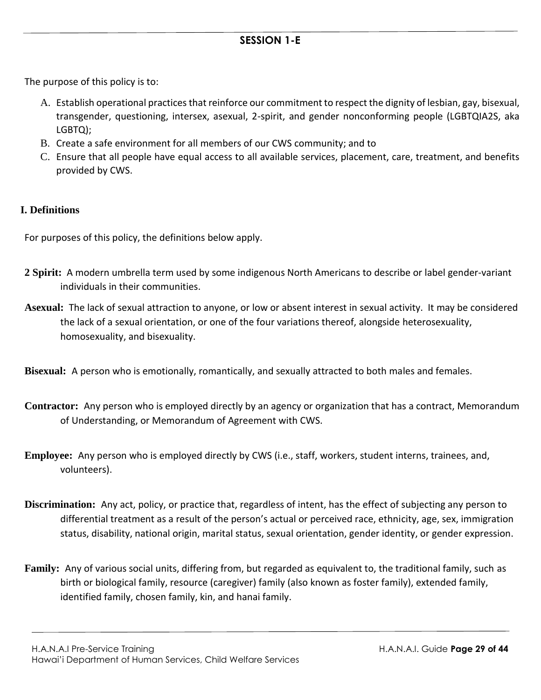The purpose of this policy is to:

- A. Establish operational practices that reinforce our commitment to respect the dignity of lesbian, gay, bisexual, transgender, questioning, intersex, asexual, 2-spirit, and gender nonconforming people (LGBTQIA2S, aka LGBTQ);
- B. Create a safe environment for all members of our CWS community; and to
- C. Ensure that all people have equal access to all available services, placement, care, treatment, and benefits provided by CWS.

#### **I. Definitions**

For purposes of this policy, the definitions below apply.

- **2 Spirit:** A modern [umbrella term](http://en.wikipedia.org/wiki/Umbrella_term) used by some [indigenous North Americans](http://en.wikipedia.org/wiki/Indigenous_peoples_of_the_Americas) to describe or label [gender-variant](http://en.wikipedia.org/wiki/Gender_variance) individuals in their communities.
- **Asexual:** The lack of [sexual attraction](http://en.wikipedia.org/wiki/Sexual_attraction) to anyone, or low or absent interest in [sexual activity.](http://en.wikipedia.org/wiki/Human_sexual_activity) It may be considered the lack of a [sexual orientation,](http://en.wikipedia.org/wiki/Sexual_orientation) or one of the four variations thereof, alongside [heterosexuality,](http://en.wikipedia.org/wiki/Heterosexuality) [homosexuality,](http://en.wikipedia.org/wiki/Homosexuality) and [bisexuality.](http://en.wikipedia.org/wiki/Bisexuality)

**Bisexual:** A person who is emotionally, romantically, and sexually attracted to both males and females.

- **Contractor:** Any person who is employed directly by an agency or organization that has a contract, Memorandum of Understanding, or Memorandum of Agreement with CWS.
- **Employee:** Any person who is employed directly by CWS (i.e., staff, workers, student interns, trainees, and, volunteers).
- **Discrimination:** Any act, policy, or practice that, regardless of intent, has the effect of subjecting any person to differential treatment as a result of the person's actual or perceived race, ethnicity, age, sex, immigration status, disability, national origin, marital status, sexual orientation, gender identity, or gender expression.
- **Family:** Any of various social units, differing from, but regarded as equivalent to, the traditional family, such as birth or biological family, resource (caregiver) family (also known as foster family), extended family, identified family, chosen family, kin, and hanai family.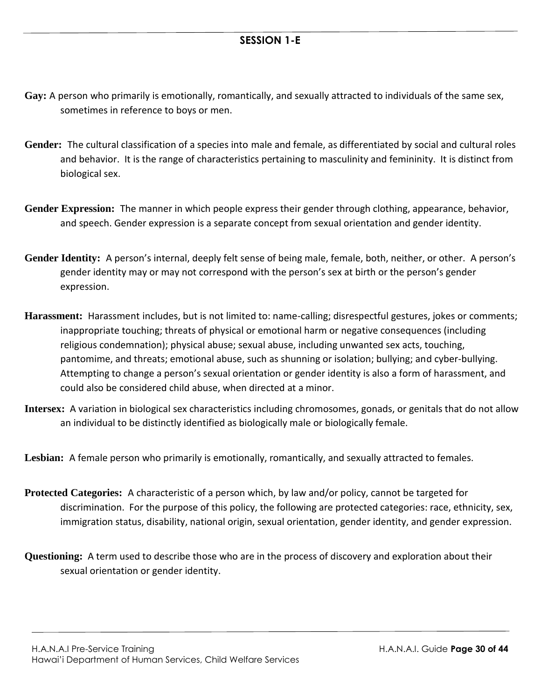- **Gay:** A person who primarily is emotionally, romantically, and sexually attracted to individuals of the same sex, sometimes in reference to boys or men.
- **Gender:** The cultural classification of a species into male and female, as differentiated by social and cultural roles and behavior. It is the range of characteristics pertaining to masculinity and femininity. It is distinct from biological sex.
- **Gender Expression:** The manner in which people express their gender through clothing, appearance, behavior, and speech. Gender expression is a separate concept from sexual orientation and gender identity.
- **Gender Identity:** A person's internal, deeply felt sense of being male, female, both, neither, or other. A person's gender identity may or may not correspond with the person's sex at birth or the person's gender expression.
- **Harassment:** Harassment includes, but is not limited to: name-calling; disrespectful gestures, jokes or comments; inappropriate touching; threats of physical or emotional harm or negative consequences (including religious condemnation); physical abuse; sexual abuse, including unwanted sex acts, touching, pantomime, and threats; emotional abuse, such as shunning or isolation; bullying; and cyber-bullying. Attempting to change a person's sexual orientation or gender identity is also a form of harassment, and could also be considered child abuse, when directed at a minor.
- **Intersex:** A variation in biologica[l sex](http://en.wikipedia.org/wiki/Sex) characteristics including [chromosomes,](http://en.wikipedia.org/wiki/Chromosome) [gonads,](http://en.wikipedia.org/wiki/Gonad) or [genitals](http://en.wikipedia.org/wiki/Genital) [t](http://en.wikipedia.org/wiki/Genital)hat do not allow an individual to be distinctly identified as biologically male or biologically female.
- **Lesbian:** A female person who primarily is emotionally, romantically, and sexually attracted to females.
- **Protected Categories:** A characteristic of a person which, by law and/or policy, cannot be targeted for discrimination. For the purpose of this policy, the following are protected categories: race, ethnicity, sex, immigration status, disability, national origin, sexual orientation, gender identity, and gender expression.
- **Questioning:** A term used to describe those who are in the process of discovery and exploration about their sexual orientation or gender identity.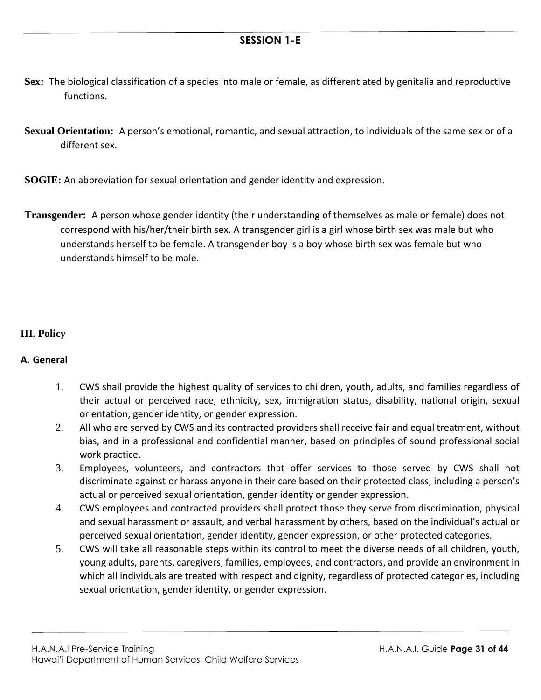- **Sex:** The biological classification of a species into male or female, as differentiated by genitalia and reproductive functions.
- **Sexual Orientation:** A person's emotional, romantic, and sexual attraction, to individuals of the same sex or of a different sex.
- **SOGIE:** An abbreviation for sexual orientation and gender identity and expression.
- **Transgender:** A person whose gender identity (their understanding of themselves as male or female) does not correspond with his/her/their birth sex. A transgender girl is a girl whose birth sex was male but who understands herself to be female. A transgender boy is a boy whose birth sex was female but who understands himself to be male.

#### **III. Policy**

#### **A. General**

- 1. CWS shall provide the highest quality of services to children, youth, adults, and families regardless of their actual or perceived race, ethnicity, sex, immigration status, disability, national origin, sexual orientation, gender identity, or gender expression.
- 2. All who are served by CWS and its contracted providers shall receive fair and equal treatment, without bias, and in a professional and confidential manner, based on principles of sound professional social work practice.
- 3. Employees, volunteers, and contractors that offer services to those served by CWS shall not discriminate against or harass anyone in their care based on their protected class, including a person's actual or perceived sexual orientation, gender identity or gender expression.
- 4. CWS employees and contracted providers shall protect those they serve from discrimination, physical and sexual harassment or assault, and verbal harassment by others, based on the individual's actual or perceived sexual orientation, gender identity, gender expression, or other protected categories.
- 5. CWS will take all reasonable steps within its control to meet the diverse needs of all children, youth, young adults, parents, caregivers, families, employees, and contractors, and provide an environment in which all individuals are treated with respect and dignity, regardless of protected categories, including sexual orientation, gender identity, or gender expression.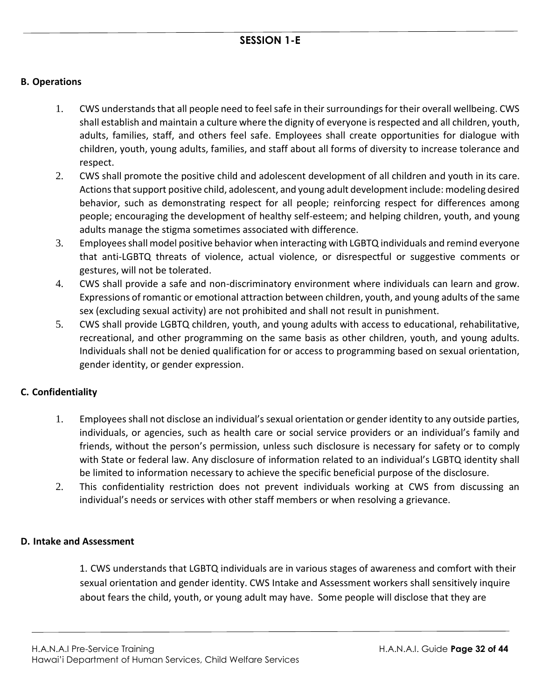#### **B. Operations**

- 1. CWS understands that all people need to feel safe in their surroundings for their overall wellbeing. CWS shall establish and maintain a culture where the dignity of everyone is respected and all children, youth, adults, families, staff, and others feel safe. Employees shall create opportunities for dialogue with children, youth, young adults, families, and staff about all forms of diversity to increase tolerance and respect.
- 2. CWS shall promote the positive child and adolescent development of all children and youth in its care. Actions that support positive child, adolescent, and young adult development include: modeling desired behavior, such as demonstrating respect for all people; reinforcing respect for differences among people; encouraging the development of healthy self-esteem; and helping children, youth, and young adults manage the stigma sometimes associated with difference.
- 3. Employees shall model positive behavior when interacting with LGBTQ individuals and remind everyone that anti-LGBTQ threats of violence, actual violence, or disrespectful or suggestive comments or gestures, will not be tolerated.
- 4. CWS shall provide a safe and non-discriminatory environment where individuals can learn and grow. Expressions of romantic or emotional attraction between children, youth, and young adults of the same sex (excluding sexual activity) are not prohibited and shall not result in punishment.
- 5. CWS shall provide LGBTQ children, youth, and young adults with access to educational, rehabilitative, recreational, and other programming on the same basis as other children, youth, and young adults. Individuals shall not be denied qualification for or access to programming based on sexual orientation, gender identity, or gender expression.

#### **C. Confidentiality**

- 1. Employees shall not disclose an individual's sexual orientation or gender identity to any outside parties, individuals, or agencies, such as health care or social service providers or an individual's family and friends, without the person's permission, unless such disclosure is necessary for safety or to comply with State or federal law. Any disclosure of information related to an individual's LGBTQ identity shall be limited to information necessary to achieve the specific beneficial purpose of the disclosure.
- 2. This confidentiality restriction does not prevent individuals working at CWS from discussing an individual's needs or services with other staff members or when resolving a grievance.

#### **D. Intake and Assessment**

1. CWS understands that LGBTQ individuals are in various stages of awareness and comfort with their sexual orientation and gender identity. CWS Intake and Assessment workers shall sensitively inquire about fears the child, youth, or young adult may have. Some people will disclose that they are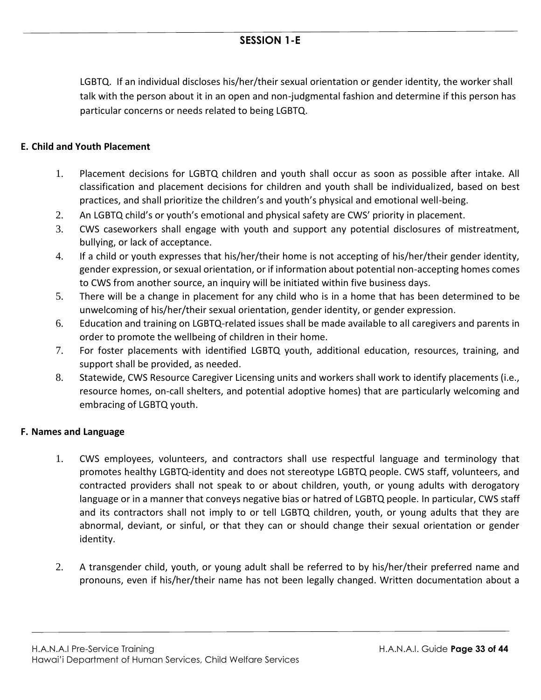LGBTQ. If an individual discloses his/her/their sexual orientation or gender identity, the worker shall talk with the person about it in an open and non-judgmental fashion and determine if this person has particular concerns or needs related to being LGBTQ.

#### **E. Child and Youth Placement**

- 1. Placement decisions for LGBTQ children and youth shall occur as soon as possible after intake. All classification and placement decisions for children and youth shall be individualized, based on best practices, and shall prioritize the children's and youth's physical and emotional well-being.
- 2. An LGBTQ child's or youth's emotional and physical safety are CWS' priority in placement.
- 3. CWS caseworkers shall engage with youth and support any potential disclosures of mistreatment, bullying, or lack of acceptance.
- 4. If a child or youth expresses that his/her/their home is not accepting of his/her/their gender identity, gender expression, or sexual orientation, or if information about potential non-accepting homes comes to CWS from another source, an inquiry will be initiated within five business days.
- 5. There will be a change in placement for any child who is in a home that has been determined to be unwelcoming of his/her/their sexual orientation, gender identity, or gender expression.
- 6. Education and training on LGBTQ-related issues shall be made available to all caregivers and parents in order to promote the wellbeing of children in their home.
- 7. For foster placements with identified LGBTQ youth, additional education, resources, training, and support shall be provided, as needed.
- 8. Statewide, CWS Resource Caregiver Licensing units and workers shall work to identify placements (i.e., resource homes, on-call shelters, and potential adoptive homes) that are particularly welcoming and embracing of LGBTQ youth.

#### **F. Names and Language**

- 1. CWS employees, volunteers, and contractors shall use respectful language and terminology that promotes healthy LGBTQ-identity and does not stereotype LGBTQ people. CWS staff, volunteers, and contracted providers shall not speak to or about children, youth, or young adults with derogatory language or in a manner that conveys negative bias or hatred of LGBTQ people. In particular, CWS staff and its contractors shall not imply to or tell LGBTQ children, youth, or young adults that they are abnormal, deviant, or sinful, or that they can or should change their sexual orientation or gender identity.
- 2. A transgender child, youth, or young adult shall be referred to by his/her/their preferred name and pronouns, even if his/her/their name has not been legally changed. Written documentation about a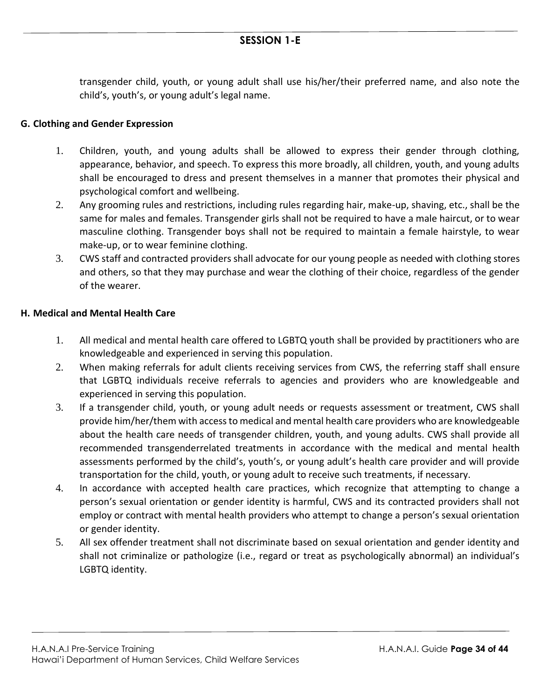transgender child, youth, or young adult shall use his/her/their preferred name, and also note the child's, youth's, or young adult's legal name.

#### **G. Clothing and Gender Expression**

- 1. Children, youth, and young adults shall be allowed to express their gender through clothing, appearance, behavior, and speech. To express this more broadly, all children, youth, and young adults shall be encouraged to dress and present themselves in a manner that promotes their physical and psychological comfort and wellbeing.
- 2. Any grooming rules and restrictions, including rules regarding hair, make-up, shaving, etc., shall be the same for males and females. Transgender girls shall not be required to have a male haircut, or to wear masculine clothing. Transgender boys shall not be required to maintain a female hairstyle, to wear make-up, or to wear feminine clothing.
- 3. CWS staff and contracted providers shall advocate for our young people as needed with clothing stores and others, so that they may purchase and wear the clothing of their choice, regardless of the gender of the wearer.

#### **H. Medical and Mental Health Care**

- 1. All medical and mental health care offered to LGBTQ youth shall be provided by practitioners who are knowledgeable and experienced in serving this population.
- 2. When making referrals for adult clients receiving services from CWS, the referring staff shall ensure that LGBTQ individuals receive referrals to agencies and providers who are knowledgeable and experienced in serving this population.
- 3. If a transgender child, youth, or young adult needs or requests assessment or treatment, CWS shall provide him/her/them with access to medical and mental health care providers who are knowledgeable about the health care needs of transgender children, youth, and young adults. CWS shall provide all recommended transgenderrelated treatments in accordance with the medical and mental health assessments performed by the child's, youth's, or young adult's health care provider and will provide transportation for the child, youth, or young adult to receive such treatments, if necessary.
- 4. In accordance with accepted health care practices, which recognize that attempting to change a person's sexual orientation or gender identity is harmful, CWS and its contracted providers shall not employ or contract with mental health providers who attempt to change a person's sexual orientation or gender identity.
- 5. All sex offender treatment shall not discriminate based on sexual orientation and gender identity and shall not criminalize or pathologize (i.e., regard or treat as psychologically abnormal) an individual's LGBTQ identity.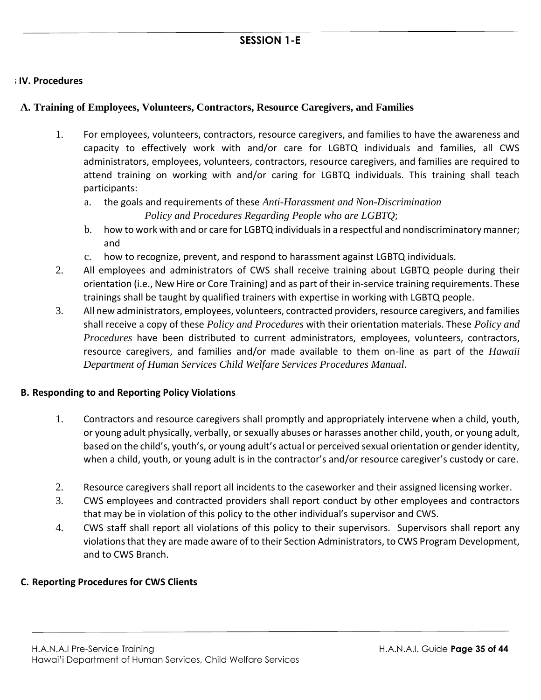#### **IV. Procedures IV. Procedures**

#### **A. Training of Employees, Volunteers, Contractors, Resource Caregivers, and Families**

- 1. For employees, volunteers, contractors, resource caregivers, and families to have the awareness and capacity to effectively work with and/or care for LGBTQ individuals and families, all CWS administrators, employees, volunteers, contractors, resource caregivers, and families are required to attend training on working with and/or caring for LGBTQ individuals. This training shall teach participants:
	- a. the goals and requirements of these *Anti-Harassment and Non-Discrimination*

*Policy and Procedures Regarding People who are LGBTQ*;

- b. how to work with and or care for LGBTQ individuals in a respectful and nondiscriminatory manner; and
- c. how to recognize, prevent, and respond to harassment against LGBTQ individuals.
- 2. All employees and administrators of CWS shall receive training about LGBTQ people during their orientation (i.e., New Hire or Core Training) and as part of their in-service training requirements. These trainings shall be taught by qualified trainers with expertise in working with LGBTQ people.
- 3. All new administrators, employees, volunteers, contracted providers, resource caregivers, and families shall receive a copy of these *Policy and Procedures* with their orientation materials. These *Policy and Procedures* have been distributed to current administrators, employees, volunteers, contractors, resource caregivers, and families and/or made available to them on-line as part of the *Hawaii Department of Human Services Child Welfare Services Procedures Manual*.

#### **B. Responding to and Reporting Policy Violations**

- 1. Contractors and resource caregivers shall promptly and appropriately intervene when a child, youth, or young adult physically, verbally, or sexually abuses or harasses another child, youth, or young adult, based on the child's, youth's, or young adult's actual or perceived sexual orientation or gender identity, when a child, youth, or young adult is in the contractor's and/or resource caregiver's custody or care.
- 2. Resource caregivers shall report all incidents to the caseworker and their assigned licensing worker.
- 3. CWS employees and contracted providers shall report conduct by other employees and contractors that may be in violation of this policy to the other individual's supervisor and CWS.
- 4. CWS staff shall report all violations of this policy to their supervisors. Supervisors shall report any violations that they are made aware of to their Section Administrators, to CWS Program Development, and to CWS Branch.

#### **C. Reporting Procedures for CWS Clients**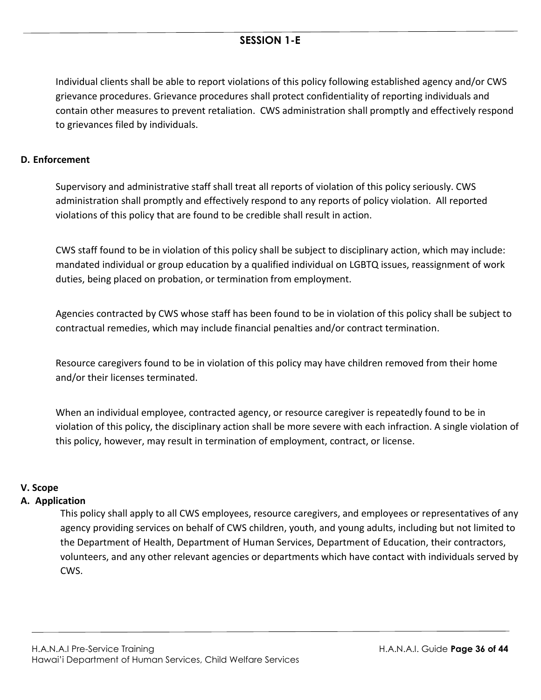Individual clients shall be able to report violations of this policy following established agency and/or CWS grievance procedures. Grievance procedures shall protect confidentiality of reporting individuals and contain other measures to prevent retaliation. CWS administration shall promptly and effectively respond to grievances filed by individuals.

#### **D. Enforcement**

Supervisory and administrative staff shall treat all reports of violation of this policy seriously. CWS administration shall promptly and effectively respond to any reports of policy violation. All reported violations of this policy that are found to be credible shall result in action.

CWS staff found to be in violation of this policy shall be subject to disciplinary action, which may include: mandated individual or group education by a qualified individual on LGBTQ issues, reassignment of work duties, being placed on probation, or termination from employment.

Agencies contracted by CWS whose staff has been found to be in violation of this policy shall be subject to contractual remedies, which may include financial penalties and/or contract termination.

Resource caregivers found to be in violation of this policy may have children removed from their home and/or their licenses terminated.

When an individual employee, contracted agency, or resource caregiver is repeatedly found to be in violation of this policy, the disciplinary action shall be more severe with each infraction. A single violation of this policy, however, may result in termination of employment, contract, or license.

#### **V. Scope**

#### **A. Application**

This policy shall apply to all CWS employees, resource caregivers, and employees or representatives of any agency providing services on behalf of CWS children, youth, and young adults, including but not limited to the Department of Health, Department of Human Services, Department of Education, their contractors, volunteers, and any other relevant agencies or departments which have contact with individuals served by CWS.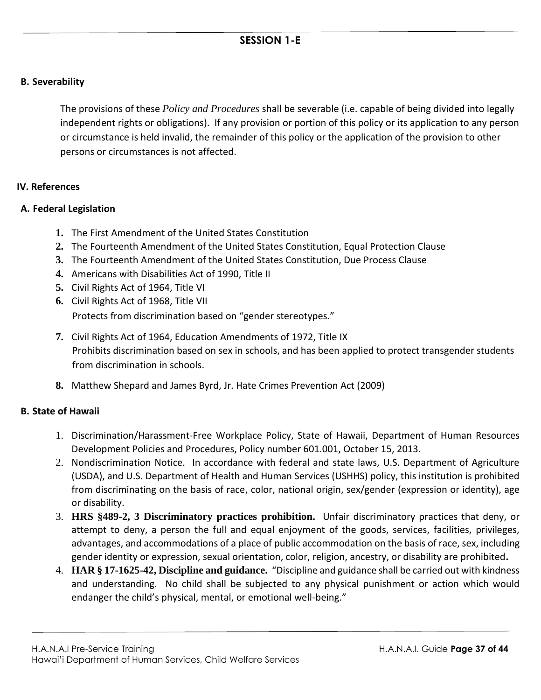#### **B. Severability**

The provisions of these *Policy and Procedures* shall be severable (i.e. capable of being divided into legally independent rights or obligations). If any provision or portion of this policy or its application to any person or circumstance is held invalid, the remainder of this policy or the application of the provision to other persons or circumstances is not affected.

#### VI. References **IV. References**

#### **A. Federal Legislation**

- **1.** The First Amendment of the United States Constitution
- **2.** The Fourteenth Amendment of the United States Constitution, Equal Protection Clause
- **3.** The Fourteenth Amendment of the United States Constitution, Due Process Clause
- **4.** Americans with Disabilities Act of 1990, Title II
- **5.** Civil Rights Act of 1964, Title VI
- **6.** Civil Rights Act of 1968, Title VII

Protects from discrimination based on "gender stereotypes."

- **7.** Civil Rights Act of 1964, Education Amendments of 1972, Title IX Prohibits discrimination based on sex in schools, and has been applied to protect transgender students from discrimination in schools.
- **8.** Matthew Shepard and James Byrd, Jr. Hate Crimes Prevention Act (2009)

#### **B. State of Hawaii**

- 1. Discrimination/Harassment-Free Workplace Policy, State of Hawaii, Department of Human Resources Development Policies and Procedures, Policy number 601.001, October 15, 2013.
- 2. Nondiscrimination Notice. In accordance with federal and state laws, U.S. Department of Agriculture (USDA), and U.S. Department of Health and Human Services (USHHS) policy, this institution is prohibited from discriminating on the basis of race, color, national origin, sex/gender (expression or identity), age or disability.
- 3. **HRS §489-2, 3 Discriminatory practices prohibition.** Unfair discriminatory practices that deny, or attempt to deny, a person the full and equal enjoyment of the goods, services, facilities, privileges, advantages, and accommodations of a place of public accommodation on the basis of race, sex, including gender identity or expression, sexual orientation, color, religion, ancestry, or disability are prohibited**.**
- 4. **HAR § 17-1625-42, Discipline and guidance.** "Discipline and guidance shall be carried out with kindness and understanding. No child shall be subjected to any physical punishment or action which would endanger the child's physical, mental, or emotional well-being."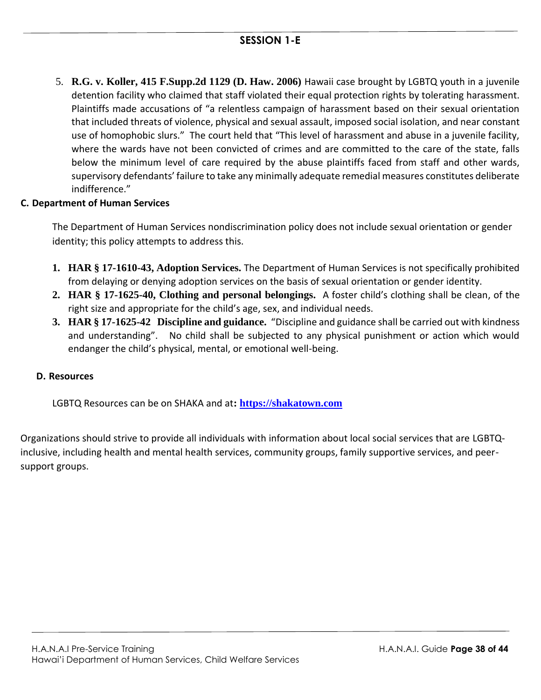5. **R.G. v. Koller, 415 F.Supp.2d 1129 (D. Haw. 2006)** Hawaii case brought by LGBTQ youth in a juvenile detention facility who claimed that staff violated their equal protection rights by tolerating harassment. Plaintiffs made accusations of "a relentless campaign of harassment based on their sexual orientation that included threats of violence, physical and sexual assault, imposed social isolation, and near constant use of homophobic slurs." The court held that "This level of harassment and abuse in a juvenile facility, where the wards have not been convicted of crimes and are committed to the care of the state, falls below the minimum level of care required by the abuse plaintiffs faced from staff and other wards, supervisory defendants' failure to take any minimally adequate remedial measures constitutes deliberate indifference."

#### **C. Department of Human Services**

The Department of Human Services nondiscrimination policy does not include sexual orientation or gender identity; this policy attempts to address this.

- **1. HAR § 17-1610-43, Adoption Services.** The Department of Human Services is not specifically prohibited from delaying or denying adoption services on the basis of sexual orientation or gender identity.
- **2. HAR § 17-1625-40, Clothing and personal belongings.** A foster child's clothing shall be clean, of the right size and appropriate for the child's age, sex, and individual needs.
- **3. HAR § 17-1625-42 Discipline and guidance.** "Discipline and guidance shall be carried out with kindness and understanding". No child shall be subjected to any physical punishment or action which would endanger the child's physical, mental, or emotional well-being.

#### **D. Resources**

LGBTQ Resources can be on SHAKA and at**: [https://shakatown.com](https://shakatown.com/)** 

Organizations should strive to provide all individuals with information about local social services that are LGBTQinclusive, including health and mental health services, community groups, family supportive services, and peersupport groups.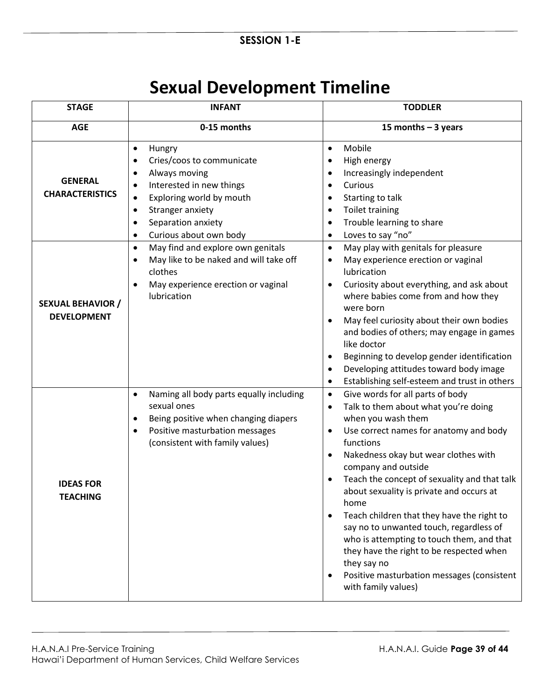# **Sexual Development Timeline**

| <b>STAGE</b>                                   | <b>INFANT</b>                                                                                                                                                                                                                                                               | <b>TODDLER</b>                                                                                                                                                                                                                                                                                                                                                                                                                                                                                                                                                                                                                                                               |
|------------------------------------------------|-----------------------------------------------------------------------------------------------------------------------------------------------------------------------------------------------------------------------------------------------------------------------------|------------------------------------------------------------------------------------------------------------------------------------------------------------------------------------------------------------------------------------------------------------------------------------------------------------------------------------------------------------------------------------------------------------------------------------------------------------------------------------------------------------------------------------------------------------------------------------------------------------------------------------------------------------------------------|
| <b>AGE</b>                                     | 0-15 months                                                                                                                                                                                                                                                                 | 15 months $-$ 3 years                                                                                                                                                                                                                                                                                                                                                                                                                                                                                                                                                                                                                                                        |
| <b>GENERAL</b><br><b>CHARACTERISTICS</b>       | Hungry<br>$\bullet$<br>Cries/coos to communicate<br>$\bullet$<br>Always moving<br>$\bullet$<br>Interested in new things<br>Exploring world by mouth<br>$\bullet$<br>Stranger anxiety<br>$\bullet$<br>Separation anxiety<br>$\bullet$<br>Curious about own body<br>$\bullet$ | Mobile<br>$\bullet$<br>High energy<br>$\bullet$<br>Increasingly independent<br>$\bullet$<br>Curious<br>$\bullet$<br>Starting to talk<br>$\bullet$<br><b>Toilet training</b><br>$\bullet$<br>Trouble learning to share<br>$\bullet$<br>Loves to say "no"<br>$\bullet$                                                                                                                                                                                                                                                                                                                                                                                                         |
| <b>SEXUAL BEHAVIOR /</b><br><b>DEVELOPMENT</b> | May find and explore own genitals<br>$\bullet$<br>May like to be naked and will take off<br>$\bullet$<br>clothes<br>May experience erection or vaginal<br>$\bullet$<br>lubrication                                                                                          | May play with genitals for pleasure<br>$\bullet$<br>May experience erection or vaginal<br>$\bullet$<br>lubrication<br>Curiosity about everything, and ask about<br>$\bullet$<br>where babies come from and how they<br>were born<br>May feel curiosity about their own bodies<br>$\bullet$<br>and bodies of others; may engage in games<br>like doctor<br>Beginning to develop gender identification<br>٠<br>Developing attitudes toward body image<br>$\bullet$<br>Establishing self-esteem and trust in others<br>$\bullet$                                                                                                                                                |
| <b>IDEAS FOR</b><br><b>TEACHING</b>            | Naming all body parts equally including<br>$\bullet$<br>sexual ones<br>Being positive when changing diapers<br>Positive masturbation messages<br>(consistent with family values)                                                                                            | Give words for all parts of body<br>$\bullet$<br>Talk to them about what you're doing<br>$\bullet$<br>when you wash them<br>Use correct names for anatomy and body<br>functions<br>Nakedness okay but wear clothes with<br>$\bullet$<br>company and outside<br>Teach the concept of sexuality and that talk<br>$\bullet$<br>about sexuality is private and occurs at<br>home<br>Teach children that they have the right to<br>$\bullet$<br>say no to unwanted touch, regardless of<br>who is attempting to touch them, and that<br>they have the right to be respected when<br>they say no<br>Positive masturbation messages (consistent<br>$\bullet$<br>with family values) |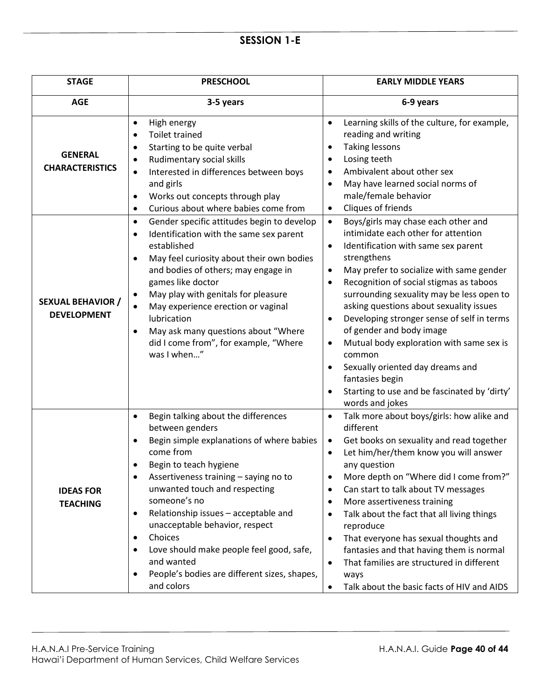| <b>STAGE</b>                                   | <b>PRESCHOOL</b>                                                                                                                                                                                                                                                                                                                                                                                                                                                                                                                | <b>EARLY MIDDLE YEARS</b>                                                                                                                                                                                                                                                                                                                                                                                                                                                                                                                                                                                                                                                 |
|------------------------------------------------|---------------------------------------------------------------------------------------------------------------------------------------------------------------------------------------------------------------------------------------------------------------------------------------------------------------------------------------------------------------------------------------------------------------------------------------------------------------------------------------------------------------------------------|---------------------------------------------------------------------------------------------------------------------------------------------------------------------------------------------------------------------------------------------------------------------------------------------------------------------------------------------------------------------------------------------------------------------------------------------------------------------------------------------------------------------------------------------------------------------------------------------------------------------------------------------------------------------------|
| <b>AGE</b>                                     | 3-5 years                                                                                                                                                                                                                                                                                                                                                                                                                                                                                                                       | 6-9 years                                                                                                                                                                                                                                                                                                                                                                                                                                                                                                                                                                                                                                                                 |
| <b>GENERAL</b><br><b>CHARACTERISTICS</b>       | High energy<br>$\bullet$<br><b>Toilet trained</b><br>$\bullet$<br>Starting to be quite verbal<br>$\bullet$<br>Rudimentary social skills<br>$\bullet$<br>Interested in differences between boys<br>$\bullet$<br>and girls<br>Works out concepts through play<br>$\bullet$<br>Curious about where babies come from<br>$\bullet$                                                                                                                                                                                                   | Learning skills of the culture, for example,<br>reading and writing<br><b>Taking lessons</b><br>$\bullet$<br>Losing teeth<br>$\bullet$<br>Ambivalent about other sex<br>٠<br>May have learned social norms of<br>$\bullet$<br>male/female behavior<br>Cliques of friends<br>$\bullet$                                                                                                                                                                                                                                                                                                                                                                                     |
| <b>SEXUAL BEHAVIOR /</b><br><b>DEVELOPMENT</b> | Gender specific attitudes begin to develop<br>$\bullet$<br>Identification with the same sex parent<br>٠<br>established<br>May feel curiosity about their own bodies<br>$\bullet$<br>and bodies of others; may engage in<br>games like doctor<br>May play with genitals for pleasure<br>$\bullet$<br>May experience erection or vaginal<br>$\bullet$<br>lubrication<br>May ask many questions about "Where<br>$\bullet$<br>did I come from", for example, "Where<br>was I when"                                                  | Boys/girls may chase each other and<br>$\bullet$<br>intimidate each other for attention<br>Identification with same sex parent<br>$\bullet$<br>strengthens<br>May prefer to socialize with same gender<br>$\bullet$<br>Recognition of social stigmas as taboos<br>$\bullet$<br>surrounding sexuality may be less open to<br>asking questions about sexuality issues<br>Developing stronger sense of self in terms<br>٠<br>of gender and body image<br>Mutual body exploration with same sex is<br>$\bullet$<br>common<br>Sexually oriented day dreams and<br>$\bullet$<br>fantasies begin<br>Starting to use and be fascinated by 'dirty'<br>$\bullet$<br>words and jokes |
| <b>IDEAS FOR</b><br><b>TEACHING</b>            | Begin talking about the differences<br>$\bullet$<br>between genders<br>Begin simple explanations of where babies<br>come from<br>Begin to teach hygiene<br>Assertiveness training - saying no to<br>$\bullet$<br>unwanted touch and respecting<br>someone's no<br>Relationship issues - acceptable and<br>$\bullet$<br>unacceptable behavior, respect<br>Choices<br>$\bullet$<br>Love should make people feel good, safe,<br>$\bullet$<br>and wanted<br>People's bodies are different sizes, shapes,<br>$\bullet$<br>and colors | Talk more about boys/girls: how alike and<br>$\bullet$<br>different<br>Get books on sexuality and read together<br>$\bullet$<br>Let him/her/them know you will answer<br>$\bullet$<br>any question<br>More depth on "Where did I come from?"<br>Can start to talk about TV messages<br>٠<br>More assertiveness training<br>$\bullet$<br>Talk about the fact that all living things<br>$\bullet$<br>reproduce<br>That everyone has sexual thoughts and<br>$\bullet$<br>fantasies and that having them is normal<br>That families are structured in different<br>$\bullet$<br>ways<br>Talk about the basic facts of HIV and AIDS<br>$\bullet$                               |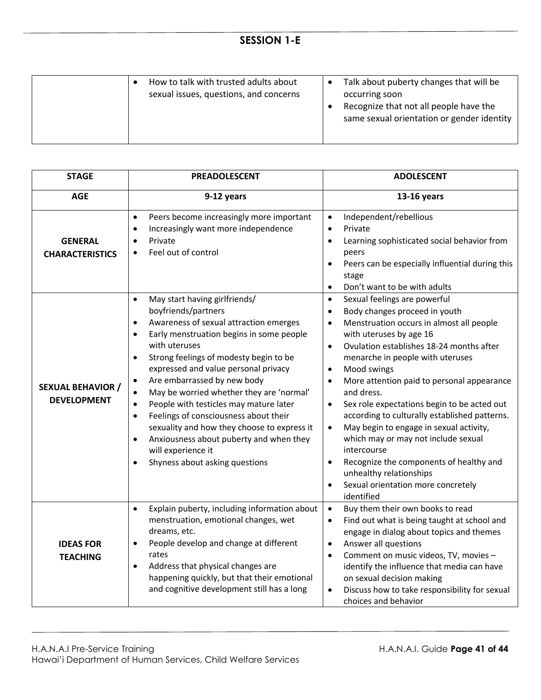| How to talk with trusted adults about<br>sexual issues, questions, and concerns | Talk about puberty changes that will be<br>occurring soon<br>Recognize that not all people have the<br>same sexual orientation or gender identity |
|---------------------------------------------------------------------------------|---------------------------------------------------------------------------------------------------------------------------------------------------|
|                                                                                 |                                                                                                                                                   |

| <b>STAGE</b>                                   | <b>PREADOLESCENT</b>                                                                                                                                                                                                                                                                                                                                                                                                                                                                                                                                                                                                                                                               | <b>ADOLESCENT</b>                                                                                                                                                                                                                                                                                                                                                                                                                                                                                                                                                                                                                                                                                                                                            |
|------------------------------------------------|------------------------------------------------------------------------------------------------------------------------------------------------------------------------------------------------------------------------------------------------------------------------------------------------------------------------------------------------------------------------------------------------------------------------------------------------------------------------------------------------------------------------------------------------------------------------------------------------------------------------------------------------------------------------------------|--------------------------------------------------------------------------------------------------------------------------------------------------------------------------------------------------------------------------------------------------------------------------------------------------------------------------------------------------------------------------------------------------------------------------------------------------------------------------------------------------------------------------------------------------------------------------------------------------------------------------------------------------------------------------------------------------------------------------------------------------------------|
| <b>AGE</b>                                     | 9-12 years                                                                                                                                                                                                                                                                                                                                                                                                                                                                                                                                                                                                                                                                         | 13-16 years                                                                                                                                                                                                                                                                                                                                                                                                                                                                                                                                                                                                                                                                                                                                                  |
| <b>GENERAL</b><br><b>CHARACTERISTICS</b>       | Peers become increasingly more important<br>$\bullet$<br>Increasingly want more independence<br>$\bullet$<br>Private<br>Feel out of control                                                                                                                                                                                                                                                                                                                                                                                                                                                                                                                                        | Independent/rebellious<br>$\bullet$<br>Private<br>$\bullet$<br>Learning sophisticated social behavior from<br>$\bullet$<br>peers<br>Peers can be especially influential during this<br>$\bullet$<br>stage<br>Don't want to be with adults<br>$\bullet$                                                                                                                                                                                                                                                                                                                                                                                                                                                                                                       |
| <b>SEXUAL BEHAVIOR /</b><br><b>DEVELOPMENT</b> | May start having girlfriends/<br>$\bullet$<br>boyfriends/partners<br>Awareness of sexual attraction emerges<br>$\bullet$<br>Early menstruation begins in some people<br>$\bullet$<br>with uteruses<br>Strong feelings of modesty begin to be<br>$\bullet$<br>expressed and value personal privacy<br>Are embarrassed by new body<br>$\bullet$<br>May be worried whether they are 'normal'<br>$\bullet$<br>People with testicles may mature later<br>$\bullet$<br>Feelings of consciousness about their<br>$\bullet$<br>sexuality and how they choose to express it<br>Anxiousness about puberty and when they<br>$\bullet$<br>will experience it<br>Shyness about asking questions | Sexual feelings are powerful<br>$\bullet$<br>Body changes proceed in youth<br>$\bullet$<br>Menstruation occurs in almost all people<br>$\bullet$<br>with uteruses by age 16<br>Ovulation establishes 18-24 months after<br>$\bullet$<br>menarche in people with uteruses<br>Mood swings<br>$\bullet$<br>More attention paid to personal appearance<br>$\bullet$<br>and dress.<br>Sex role expectations begin to be acted out<br>$\bullet$<br>according to culturally established patterns.<br>May begin to engage in sexual activity,<br>$\bullet$<br>which may or may not include sexual<br>intercourse<br>Recognize the components of healthy and<br>$\bullet$<br>unhealthy relationships<br>Sexual orientation more concretely<br>$\bullet$<br>identified |
| <b>IDEAS FOR</b><br><b>TEACHING</b>            | Explain puberty, including information about<br>$\bullet$<br>menstruation, emotional changes, wet<br>dreams, etc.<br>People develop and change at different<br>$\bullet$<br>rates<br>Address that physical changes are<br>$\bullet$<br>happening quickly, but that their emotional<br>and cognitive development still has a long                                                                                                                                                                                                                                                                                                                                                   | Buy them their own books to read<br>$\bullet$<br>Find out what is being taught at school and<br>$\bullet$<br>engage in dialog about topics and themes<br>Answer all questions<br>$\bullet$<br>Comment on music videos, TV, movies -<br>$\bullet$<br>identify the influence that media can have<br>on sexual decision making<br>Discuss how to take responsibility for sexual<br>$\bullet$<br>choices and behavior                                                                                                                                                                                                                                                                                                                                            |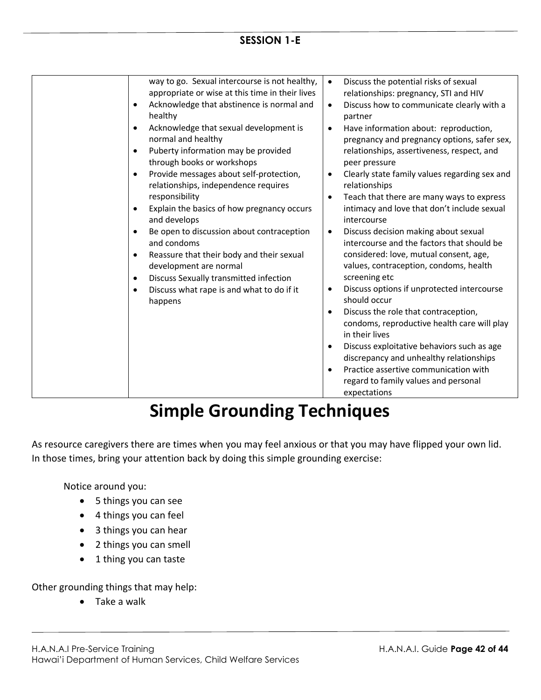# **Simple Grounding Techniques**

As resource caregivers there are times when you may feel anxious or that you may have flipped your own lid. In those times, bring your attention back by doing this simple grounding exercise:

Notice around you:

- 5 things you can see
- 4 things you can feel
- 3 things you can hear
- 2 things you can smell
- 1 thing you can taste

Other grounding things that may help:

• Take a walk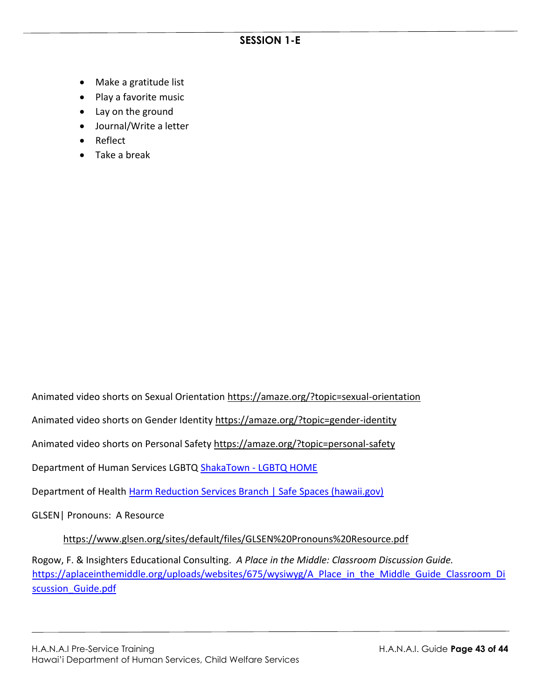- Make a gratitude list
- Play a favorite music
- Lay on the ground
- Journal/Write a letter
- Reflect
- Take a break

Animated video shorts on Sexual Orientation<https://amaze.org/?topic=sexual-orientation>

Animated video shorts on Gender Identity<https://amaze.org/?topic=gender-identity>

Animated video shorts on Personal Safety<https://amaze.org/?topic=personal-safety>

Department of Human Services LGBTQ ShakaTown - [LGBTQ HOME](https://shakatown.com/lgbtq)

Department of Health [Harm Reduction Services Branch | Safe Spaces \(hawaii.gov\)](https://health.hawaii.gov/harmreduction/sexual-gender-minority/safe-spaces/)

GLSEN| Pronouns: A Resource

<https://www.glsen.org/sites/default/files/GLSEN%20Pronouns%20Resource.pdf>

Rogow, F. & Insighters Educational Consulting. *A Place in the Middle: Classroom Discussion Guide.* [https://aplaceinthemiddle.org/uploads/websites/675/wysiwyg/A\\_Place\\_in\\_the\\_Middle\\_Guide\\_Classroom\\_Di](https://linkprotect.cudasvc.com/url?a=https%3a%2f%2faplaceinthemiddle.org%2fuploads%2fwebsites%2f675%2fwysiwyg%2fA_Place_in_the_Middle_Guide_Classroom_Discussion_Guide.pdf&c=E,1,n7z7iexQBXbJWF78LmhfJbZ510Ga5OyjSMs62_oqUR6ssbpRB9XJrDmBuJ-ekN_OWB3z4WTAbL-xq2T51m_vDLryjMKjNxlGIeoiEIKKM_-mHCkDQpQ2we7AUUU,&typo=1) scussion Guide.pdf